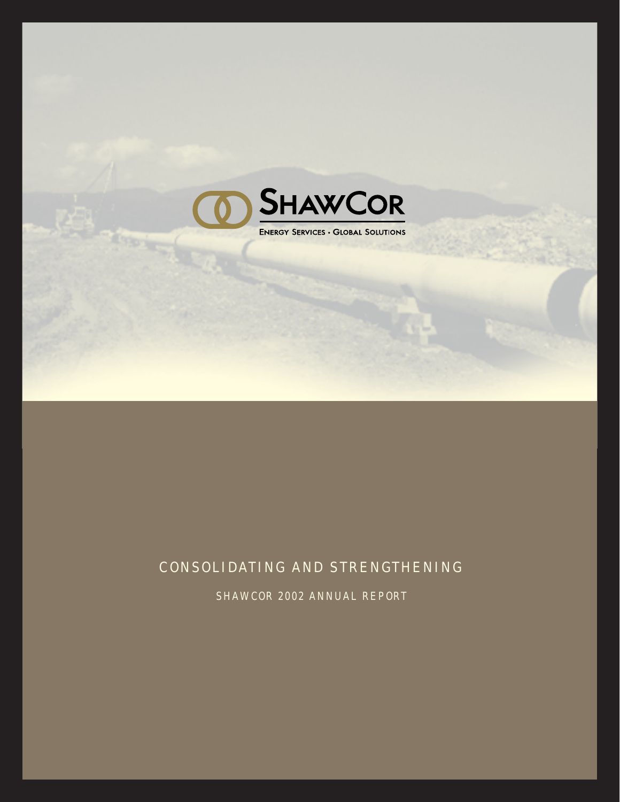

# CONSOLIDATING AND STRENGTHENING

SHAWCOR 2002 ANNUAL REPORT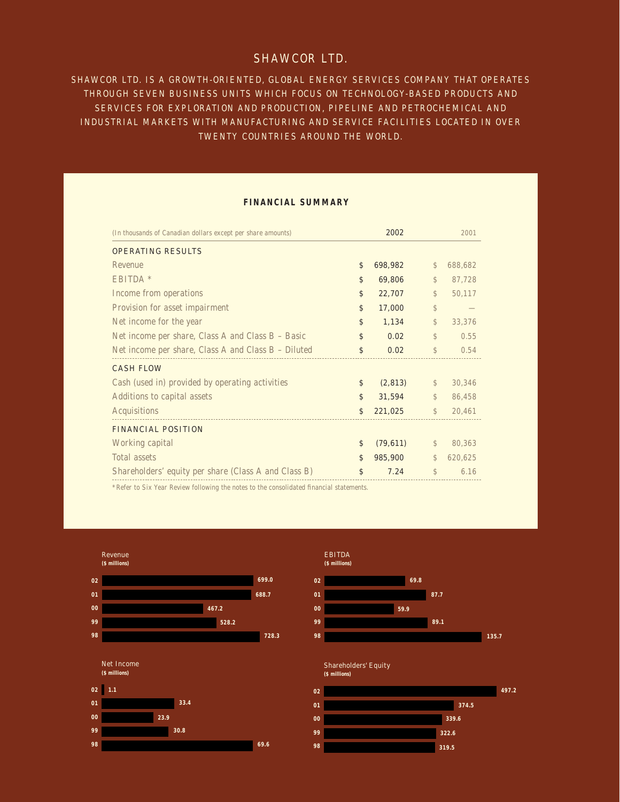# SHAWCOR LTD.

SHAWCOR LTD. IS A GROWTH-ORIENTED, GLOBAL ENERGY SERVICES COMPANY THAT OPERATES THROUGH SEVEN BUSINESS UNITS WHICH FOCUS ON TECHNOLOGY-BASED PRODUCTS AND SERVICES FOR EXPLORATION AND PRODUCTION, PIPELINE AND PETROCHEMICAL AND INDUSTRIAL MARKETS WITH MANUFACTURING AND SERVICE FACILITIES LOCATED IN OVER TWENTY COUNTRIES AROUND THE WORLD.

## **FINANCIAL SUMMARY**

| (In thousands of Canadian dollars except per share amounts) | 2002            |               | 2001    |
|-------------------------------------------------------------|-----------------|---------------|---------|
| <b>OPERATING RESULTS</b>                                    |                 |               |         |
| <b>Revenue</b>                                              | \$<br>698,982   | $\mathcal{S}$ | 688,682 |
| EBITDA *                                                    | \$<br>69,806    | $\mathcal{S}$ | 87,728  |
| Income from operations                                      | \$<br>22,707    | $\mathbb{S}$  | 50,117  |
| Provision for asset impairment                              | \$<br>17,000    | \$            |         |
| Net income for the year                                     | \$<br>1,134     | \$            | 33,376  |
| Net income per share, Class A and Class B - Basic           | \$<br>0.02      | \$            | 0.55    |
| Net income per share, Class A and Class B - Diluted         | \$<br>0.02      | \$            | 0.54    |
| <b>CASH FLOW</b>                                            |                 |               |         |
| Cash (used in) provided by operating activities             | \$<br>(2, 813)  | $\mathcal{L}$ | 30,346  |
| Additions to capital assets                                 | \$<br>31,594    | $\mathbb{S}$  | 86,458  |
| Acquisitions                                                | \$<br>221,025   | $\mathbb{S}$  | 20,461  |
| <b>FINANCIAL POSITION</b>                                   |                 |               |         |
| Working capital                                             | \$<br>(79, 611) | \$            | 80,363  |
| Total assets                                                | \$<br>985,900   | $\mathcal{S}$ | 620,625 |
| Shareholders' equity per share (Class A and Class B)        | \$<br>7.24      | \$            | 6.16    |

\*Refer to Six Year Review following the notes to the consolidated financial statements.

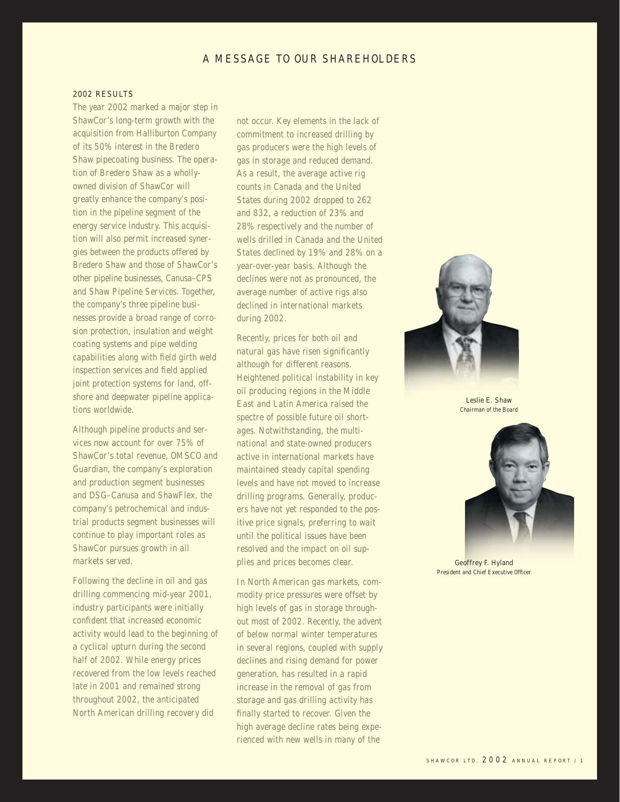# A MESSAGE TO OUR SHAREHOLDERS

#### 2002 RESULTS

The year 2002 marked a major step in ShawCor's long-term growth with the acquisition from Halliburton Company of its 50% interest in the Bredero Shaw pipecoating business. The operation of Bredero Shaw as a whollyowned division of ShawCor will greatly enhance the company's position in the pipeline segment of the energy service industry. This acquisition will also permit increased synergies between the products offered by Bredero Shaw and those of ShawCor's other pipeline businesses, Canusa–CPS and Shaw Pipeline Services. Together, the company's three pipeline businesses provide a broad range of corrosion protection, insulation and weight coating systems and pipe welding capabilities along with field girth weld inspection services and field applied joint protection systems for land, offshore and deepwater pipeline applications worldwide.

Although pipeline products and services now account for over 75% of ShawCor's total revenue, OMSCO and Guardian, the company's exploration and production segment businesses and DSG–Canusa and ShawFlex, the company's petrochemical and industrial products segment businesses will continue to play important roles as ShawCor pursues growth in all markets served.

Following the decline in oil and gas drilling commencing mid-year 2001, industry participants were initially confident that increased economic activity would lead to the beginning of a cyclical upturn during the second half of 2002. While energy prices recovered from the low levels reached late in 2001 and remained strong throughout 2002, the anticipated North American drilling recovery did

not occur. Key elements in the lack of commitment to increased drilling by gas producers were the high levels of gas in storage and reduced demand. As a result, the average active rig counts in Canada and the United States during 2002 dropped to 262 and 832, a reduction of 23% and 28% respectively and the number of wells drilled in Canada and the United States declined by 19% and 28% on a year-over-year basis. Although the declines were not as pronounced, the average number of active rigs also declined in international markets during 2002.

Recently, prices for both oil and natural gas have risen significantly although for different reasons. Heightened political instability in key oil producing regions in the Middle East and Latin America raised the spectre of possible future oil shortages. Notwithstanding, the multinational and state-owned producers active in international markets have maintained steady capital spending levels and have not moved to increase drilling programs. Generally, producers have not yet responded to the positive price signals, preferring to wait until the political issues have been resolved and the impact on oil supplies and prices becomes clear.

In North American gas markets, commodity price pressures were offset by high levels of gas in storage throughout most of 2002. Recently, the advent of below normal winter temperatures in several regions, coupled with supply declines and rising demand for power generation, has resulted in a rapid increase in the removal of gas from storage and gas drilling activity has finally started to recover. Given the high average decline rates being experienced with new wells in many of the



Chairman of the Board



Geoffrey F. Hyland President and Chief Executive Officer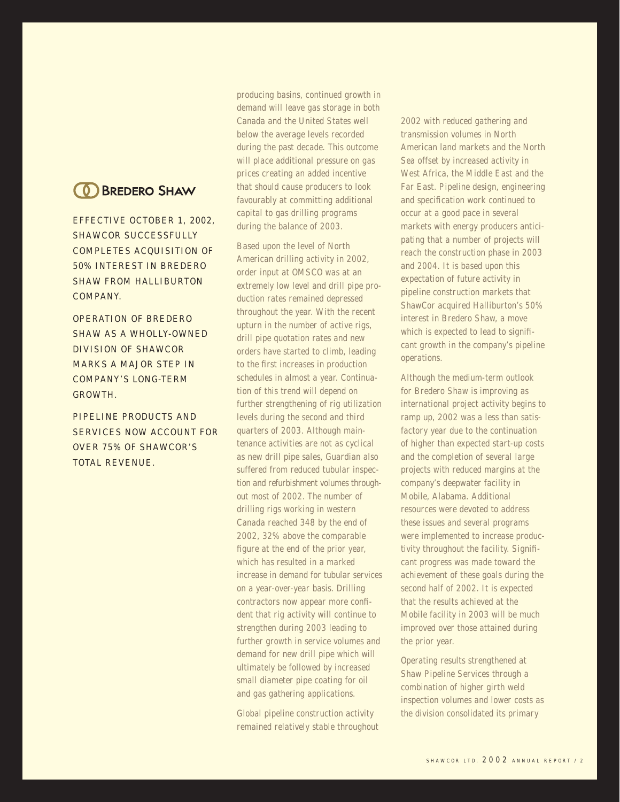# **(0) BREDERO SHAW**

EFFECTIVE OCTOBER 1, 2002, SHAWCOR SUCCESSFULLY COMPLETES ACQUISITION OF 50% INTEREST IN BREDERO SHAW FROM HALLIBURTON COMPANY.

OPERATION OF BREDERO SHAW AS A WHOLLY-OWNED DIVISION OF SHAWCOR MARKS A MAJOR STEP IN COMPANY'S LONG-TERM GROWTH.

PIPELINE PRODUCTS AND SERVICES NOW ACCOUNT FOR OVER 75% OF SHAWCOR'S TOTAL REVENUE.

producing basins, continued growth in demand will leave gas storage in both Canada and the United States well below the average levels recorded during the past decade. This outcome will place additional pressure on gas prices creating an added incentive that should cause producers to look favourably at committing additional capital to gas drilling programs during the balance of 2003.

Based upon the level of North American drilling activity in 2002, order input at OMSCO was at an extremely low level and drill pipe production rates remained depressed throughout the year. With the recent upturn in the number of active rigs, drill pipe quotation rates and new orders have started to climb, leading to the first increases in production schedules in almost a year. Continuation of this trend will depend on further strengthening of rig utilization levels during the second and third quarters of 2003. Although maintenance activities are not as cyclical as new drill pipe sales, Guardian also suffered from reduced tubular inspection and refurbishment volumes throughout most of 2002. The number of drilling rigs working in western Canada reached 348 by the end of 2002, 32% above the comparable figure at the end of the prior year, which has resulted in a marked increase in demand for tubular services on a year-over-year basis. Drilling contractors now appear more confident that rig activity will continue to strengthen during 2003 leading to further growth in service volumes and demand for new drill pipe which will ultimately be followed by increased small diameter pipe coating for oil and gas gathering applications.

Global pipeline construction activity remained relatively stable throughout 2002 with reduced gathering and transmission volumes in North American land markets and the North Sea offset by increased activity in West Africa, the Middle East and the Far East. Pipeline design, engineering and specification work continued to occur at a good pace in several markets with energy producers anticipating that a number of projects will reach the construction phase in 2003 and 2004. It is based upon this expectation of future activity in pipeline construction markets that ShawCor acquired Halliburton's 50% interest in Bredero Shaw, a move which is expected to lead to significant growth in the company's pipeline operations.

Although the medium-term outlook for Bredero Shaw is improving as international project activity begins to ramp up, 2002 was a less than satisfactory year due to the continuation of higher than expected start-up costs and the completion of several large projects with reduced margins at the company's deepwater facility in Mobile, Alabama. Additional resources were devoted to address these issues and several programs were implemented to increase productivity throughout the facility. Significant progress was made toward the achievement of these goals during the second half of 2002. It is expected that the results achieved at the Mobile facility in 2003 will be much improved over those attained during the prior year.

Operating results strengthened at Shaw Pipeline Services through a combination of higher girth weld inspection volumes and lower costs as the division consolidated its primary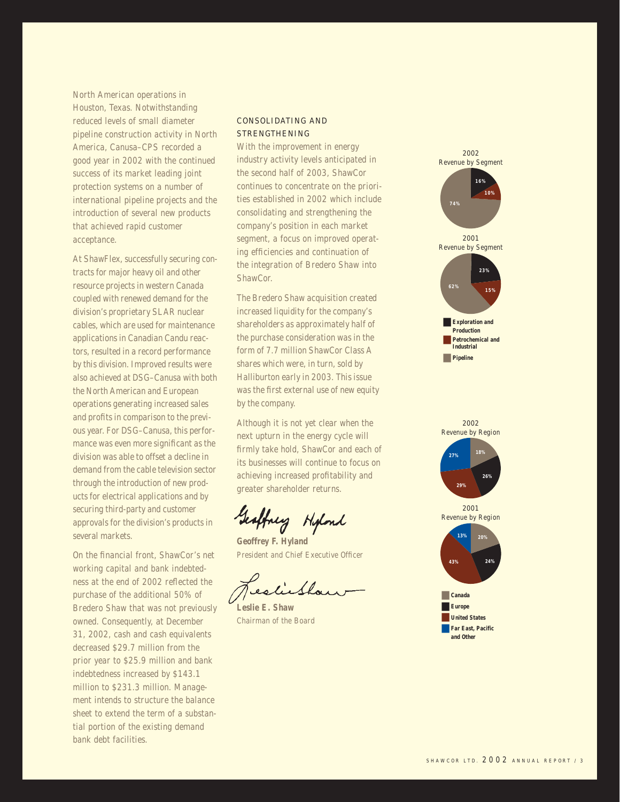North American operations in Houston, Texas. Notwithstanding reduced levels of small diameter pipeline construction activity in North America, Canusa–CPS recorded a good year in 2002 with the continued success of its market leading joint protection systems on a number of international pipeline projects and the introduction of several new products that achieved rapid customer acceptance.

At ShawFlex, successfully securing contracts for major heavy oil and other resource projects in western Canada coupled with renewed demand for the division's proprietary SLAR nuclear cables, which are used for maintenance applications in Canadian Candu reactors, resulted in a record performance by this division. Improved results were also achieved at DSG–Canusa with both the North American and European operations generating increased sales and profits in comparison to the previous year. For DSG–Canusa, this performance was even more significant as the division was able to offset a decline in demand from the cable television sector through the introduction of new products for electrical applications and by securing third-party and customer approvals for the division's products in several markets.

On the financial front, ShawCor's net working capital and bank indebtedness at the end of 2002 reflected the purchase of the additional 50% of Bredero Shaw that was not previously owned. Consequently, at December 31, 2002, cash and cash equivalents decreased \$29.7 million from the prior year to \$25.9 million and bank indebtedness increased by \$143.1 million to \$231.3 million. Management intends to structure the balance sheet to extend the term of a substantial portion of the existing demand bank debt facilities.

#### CONSOLIDATING AND **STRENGTHENING**

With the improvement in energy industry activity levels anticipated in the second half of 2003, ShawCor continues to concentrate on the priorities established in 2002 which include consolidating and strengthening the company's position in each market segment, a focus on improved operating efficiencies and continuation of the integration of Bredero Shaw into ShawCor.

The Bredero Shaw acquisition created increased liquidity for the company's shareholders as approximately half of the purchase consideration was in the form of 7.7 million ShawCor Class A shares which were, in turn, sold by Halliburton early in 2003. This issue was the first external use of new equity by the company.

Although it is not yet clear when the next upturn in the energy cycle will firmly take hold, ShawCor and each of its businesses will continue to focus on achieving increased profitability and greater shareholder returns.

Geoffney Highard

**Geoffrey F. Hyland** President and Chief Executive Officer

liefhow

**Leslie E. Shaw** Chairman of the Board



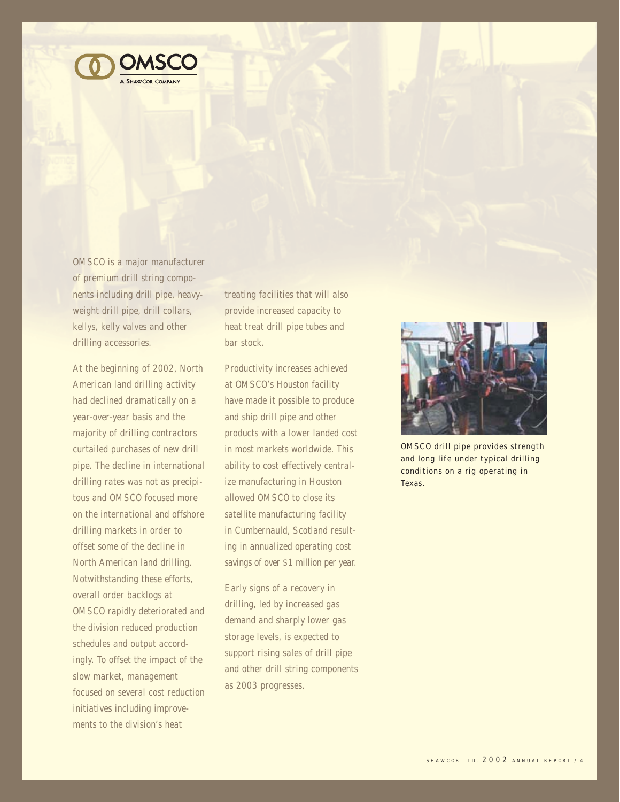

OMSCO is a major manufacturer of premium drill string components including drill pipe, heavyweight drill pipe, drill collars, kellys, kelly valves and other drilling accessories.

At the beginning of 2002, North American land drilling activity had declined dramatically on a year-over-year basis and the majority of drilling contractors curtailed purchases of new drill pipe. The decline in international drilling rates was not as precipitous and OMSCO focused more on the international and offshore drilling markets in order to offset some of the decline in North American land drilling. Notwithstanding these efforts, overall order backlogs at OMSCO rapidly deteriorated and the division reduced production schedules and output accordingly. To offset the impact of the slow market, management focused on several cost reduction initiatives including improvements to the division's heat

treating facilities that will also provide increased capacity to heat treat drill pipe tubes and bar stock.

Productivity increases achieved at OMSCO's Houston facility have made it possible to produce and ship drill pipe and other products with a lower landed cost in most markets worldwide. This ability to cost effectively centralize manufacturing in Houston allowed OMSCO to close its satellite manufacturing facility in Cumbernauld, Scotland resulting in annualized operating cost savings of over \$1 million per year.

Early signs of a recovery in drilling, led by increased gas demand and sharply lower gas storage levels, is expected to support rising sales of drill pipe and other drill string components as 2003 progresses.



OMSCO drill pipe provides strength and long life under typical drilling conditions on a rig operating in Texas.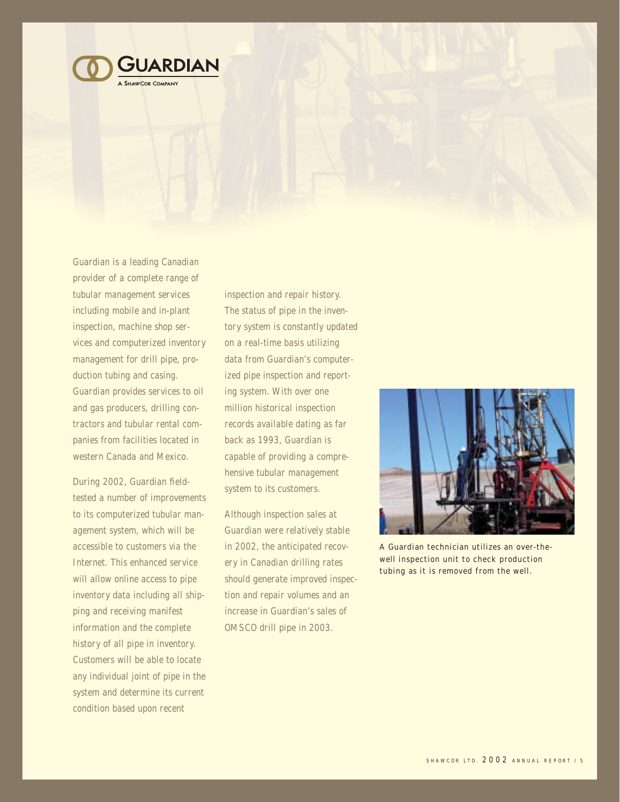

Guardian is a leading Canadian provider of a complete range of tubular management services including mobile and in-plant inspection, machine shop services and computerized inventory management for drill pipe, production tubing and casing. Guardian provides services to oil and gas producers, drilling contractors and tubular rental companies from facilities located in western Canada and Mexico.

During 2002, Guardian fieldtested a number of improvements to its computerized tubular management system, which will be accessible to customers via the Internet. This enhanced service will allow online access to pipe inventory data including all shipping and receiving manifest information and the complete history of all pipe in inventory. Customers will be able to locate any individual joint of pipe in the system and determine its current condition based upon recent

inspection and repair history. The status of pipe in the inventory system is constantly updated on a real-time basis utilizing data from Guardian's computerized pipe inspection and reporting system. With over one million historical inspection records available dating as far back as 1993, Guardian is capable of providing a comprehensive tubular management system to its customers.

Although inspection sales at Guardian were relatively stable in 2002, the anticipated recovery in Canadian drilling rates should generate improved inspection and repair volumes and an increase in Guardian's sales of OMSCO drill pipe in 2003.



A Guardian technician utilizes an over-thewell inspection unit to check production tubing as it is removed from the well.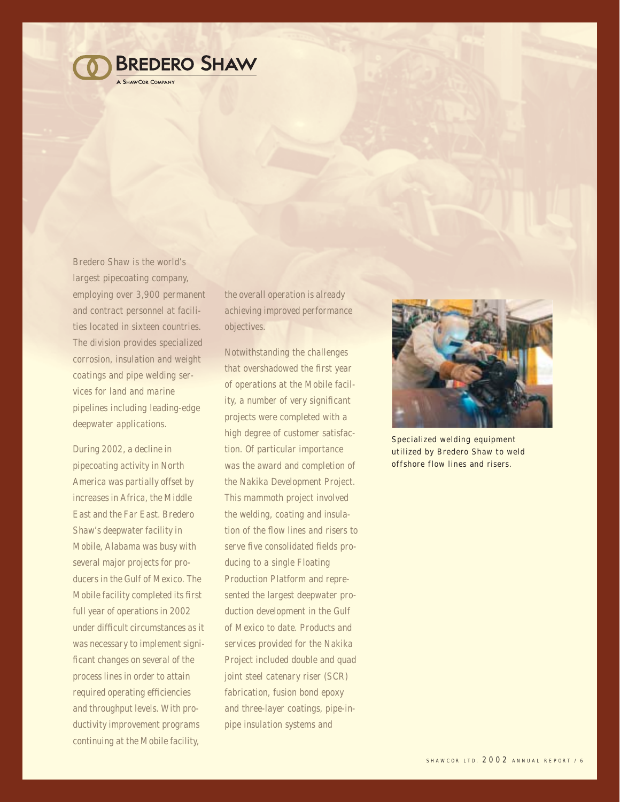

Bredero Shaw is the world's largest pipecoating company, employing over 3,900 permanent and contract personnel at facilities located in sixteen countries. The division provides specialized corrosion, insulation and weight coatings and pipe welding services for land and marine pipelines including leading-edge deepwater applications.

During 2002, a decline in pipecoating activity in North America was partially offset by increases in Africa, the Middle East and the Far East. Bredero Shaw's deepwater facility in Mobile, Alabama was busy with several major projects for producers in the Gulf of Mexico. The Mobile facility completed its first full year of operations in 2002 under difficult circumstances as it was necessary to implement significant changes on several of the process lines in order to attain required operating efficiencies and throughput levels. With productivity improvement programs continuing at the Mobile facility,

the overall operation is already achieving improved performance objectives.

Notwithstanding the challenges that overshadowed the first year of operations at the Mobile facility, a number of very significant projects were completed with a high degree of customer satisfaction. Of particular importance was the award and completion of the Nakika Development Project. This mammoth project involved the welding, coating and insulation of the flow lines and risers to serve five consolidated fields producing to a single Floating Production Platform and represented the largest deepwater production development in the Gulf of Mexico to date. Products and services provided for the Nakika Project included double and quad joint steel catenary riser (SCR) fabrication, fusion bond epoxy and three-layer coatings, pipe-inpipe insulation systems and



Specialized welding equipment utilized by Bredero Shaw to weld offshore flow lines and risers.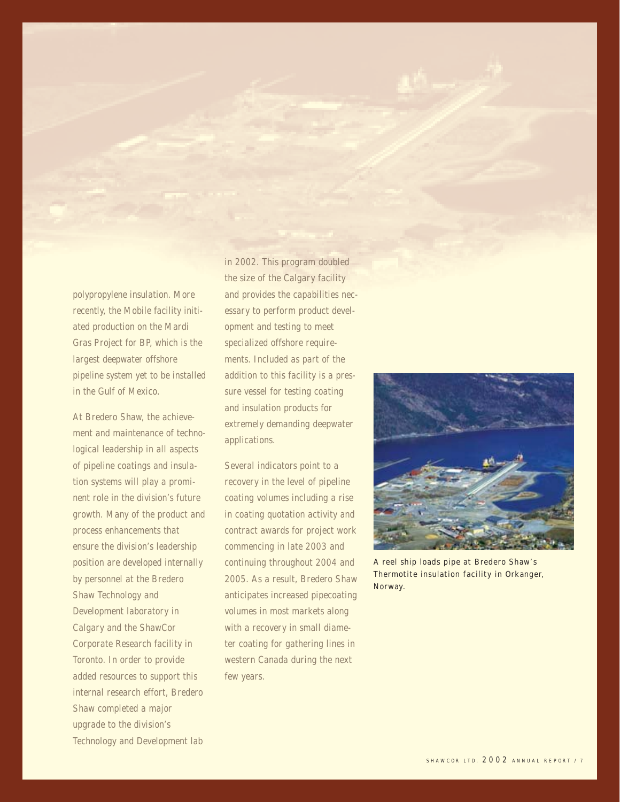polypropylene insulation. More recently, the Mobile facility initiated production on the Mardi Gras Project for BP, which is the largest deepwater offshore pipeline system yet to be installed in the Gulf of Mexico.

At Bredero Shaw, the achievement and maintenance of technological leadership in all aspects of pipeline coatings and insulation systems will play a prominent role in the division's future growth. Many of the product and process enhancements that ensure the division's leadership position are developed internally by personnel at the Bredero Shaw Technology and Development laboratory in Calgary and the ShawCor Corporate Research facility in Toronto. In order to provide added resources to support this internal research effort, Bredero Shaw completed a major upgrade to the division's Technology and Development lab

in 2002. This program doubled the size of the Calgary facility and provides the capabilities necessary to perform product development and testing to meet specialized offshore requirements. Included as part of the addition to this facility is a pressure vessel for testing coating and insulation products for extremely demanding deepwater applications.

Several indicators point to a recovery in the level of pipeline coating volumes including a rise in coating quotation activity and contract awards for project work commencing in late 2003 and continuing throughout 2004 and 2005. As a result, Bredero Shaw anticipates increased pipecoating volumes in most markets along with a recovery in small diameter coating for gathering lines in western Canada during the next few years.



A reel ship loads pipe at Bredero Shaw's Thermotite insulation facility in Orkanger, Norway.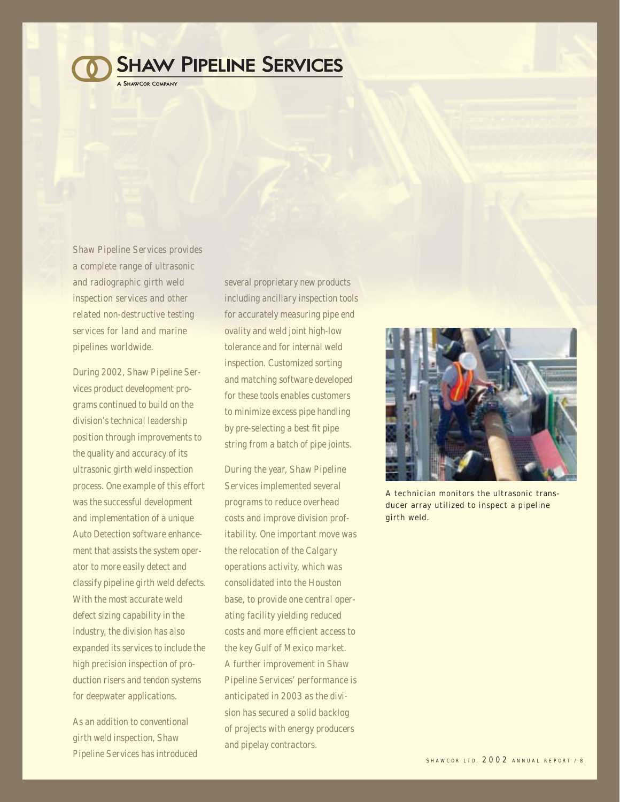# **SHAW PIPELINE SERVICES**

**SHAWCOR COMPANY** 

Shaw Pipeline Services provides a complete range of ultrasonic and radiographic girth weld inspection services and other related non-destructive testing services for land and marine pipelines worldwide.

During 2002, Shaw Pipeline Services product development programs continued to build on the division's technical leadership position through improvements to the quality and accuracy of its ultrasonic girth weld inspection process. One example of this effort was the successful development and implementation of a unique Auto Detection software enhancement that assists the system operator to more easily detect and classify pipeline girth weld defects. With the most accurate weld defect sizing capability in the industry, the division has also expanded its services to include the high precision inspection of production risers and tendon systems for deepwater applications.

As an addition to conventional girth weld inspection, Shaw Pipeline Services has introduced

several proprietary new products including ancillary inspection tools for accurately measuring pipe end ovality and weld joint high-low tolerance and for internal weld inspection. Customized sorting and matching software developed for these tools enables customers to minimize excess pipe handling by pre-selecting a best fit pipe string from a batch of pipe joints.

During the year, Shaw Pipeline Services implemented several programs to reduce overhead costs and improve division profitability. One important move was the relocation of the Calgary operations activity, which was consolidated into the Houston base, to provide one central operating facility yielding reduced costs and more efficient access to the key Gulf of Mexico market. A further improvement in Shaw Pipeline Services' performance is anticipated in 2003 as the division has secured a solid backlog of projects with energy producers and pipelay contractors.



A technician monitors the ultrasonic transducer array utilized to inspect a pipeline girth weld.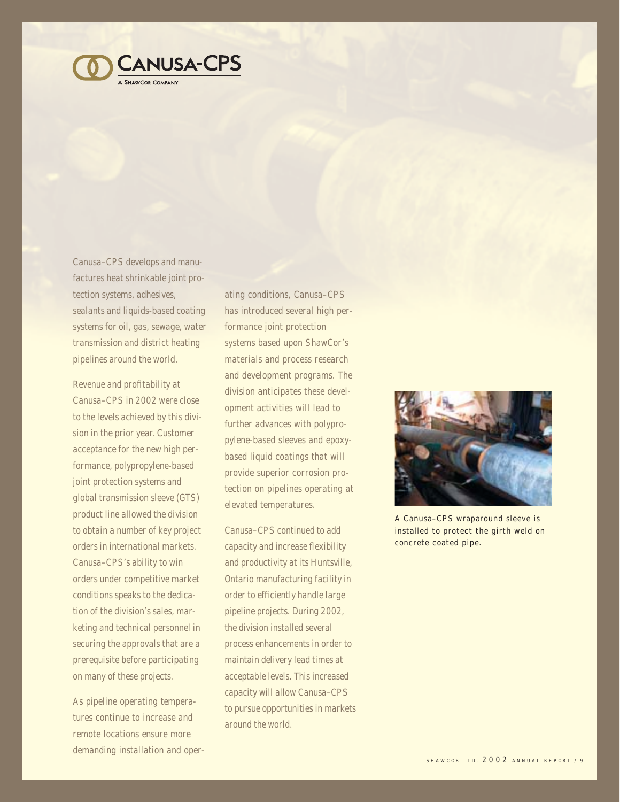

Canusa–CPS develops and manufactures heat shrinkable joint protection systems, adhesives, sealants and liquids-based coating systems for oil, gas, sewage, water transmission and district heating pipelines around the world.

Revenue and profitability at Canusa–CPS in 2002 were close to the levels achieved by this division in the prior year. Customer acceptance for the new high performance, polypropylene-based joint protection systems and global transmission sleeve (GTS) product line allowed the division to obtain a number of key project orders in international markets. Canusa–CPS's ability to win orders under competitive market conditions speaks to the dedication of the division's sales, marketing and technical personnel in securing the approvals that are a prerequisite before participating on many of these projects.

As pipeline operating temperatures continue to increase and remote locations ensure more demanding installation and oper-

ating conditions, Canusa–CPS has introduced several high performance joint protection systems based upon ShawCor's materials and process research and development programs. The division anticipates these development activities will lead to further advances with polypropylene-based sleeves and epoxybased liquid coatings that will provide superior corrosion protection on pipelines operating at elevated temperatures.

Canusa–CPS continued to add capacity and increase flexibility and productivity at its Huntsville, Ontario manufacturing facility in order to efficiently handle large pipeline projects. During 2002, the division installed several process enhancements in order to maintain delivery lead times at acceptable levels. This increased capacity will allow Canusa–CPS to pursue opportunities in markets around the world.



A Canusa–CPS wraparound sleeve is installed to protect the girth weld on concrete coated pipe.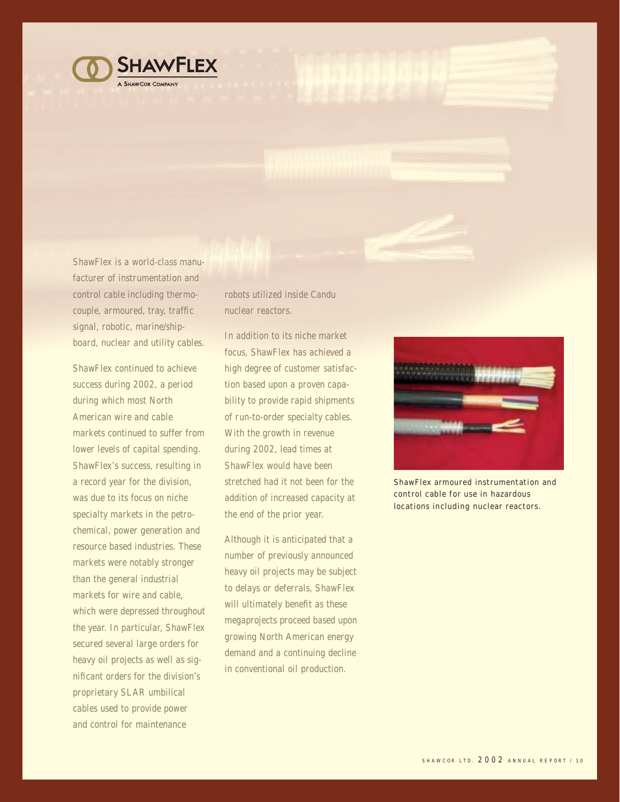

ShawFlex is a world-class manufacturer of instrumentation and control cable including thermocouple, armoured, tray, traffic signal, robotic, marine/shipboard, nuclear and utility cables.

ShawFlex continued to achieve success during 2002, a period during which most North American wire and cable markets continued to suffer from lower levels of capital spending. ShawFlex's success, resulting in a record year for the division, was due to its focus on niche specialty markets in the petrochemical, power generation and resource based industries. These markets were notably stronger than the general industrial markets for wire and cable, which were depressed throughout the year. In particular, ShawFlex secured several large orders for heavy oil projects as well as significant orders for the division's proprietary SLAR umbilical cables used to provide power and control for maintenance

robots utilized inside Candu nuclear reactors.

In addition to its niche market focus, ShawFlex has achieved a high degree of customer satisfaction based upon a proven capability to provide rapid shipments of run-to-order specialty cables. With the growth in revenue during 2002, lead times at ShawFlex would have been stretched had it not been for the addition of increased capacity at the end of the prior year.

Although it is anticipated that a number of previously announced heavy oil projects may be subject to delays or deferrals, ShawFlex will ultimately benefit as these megaprojects proceed based upon growing North American energy demand and a continuing decline in conventional oil production.



ShawFlex armoured instrumentation and control cable for use in hazardous locations including nuclear reactors.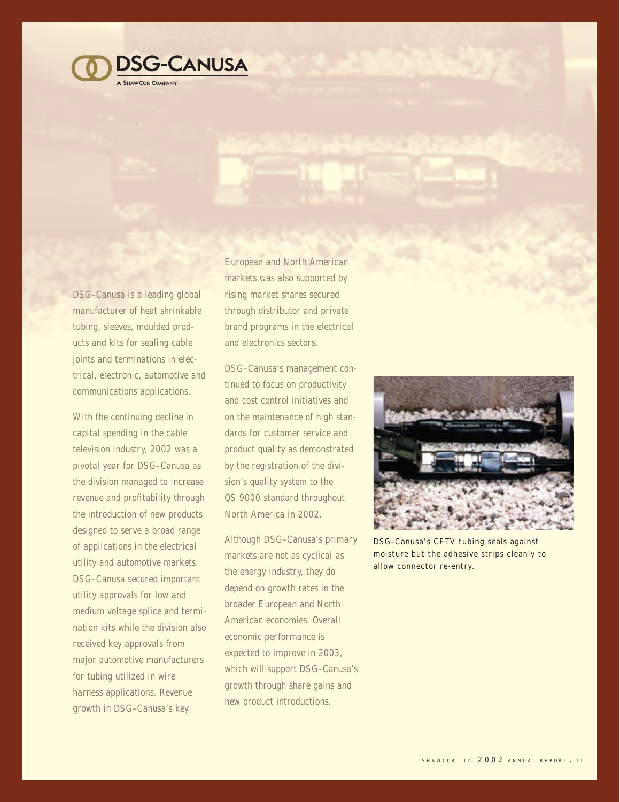

DSG–Canusa is a leading global manufacturer of heat shrinkable tubing, sleeves, moulded products and kits for sealing cable joints and terminations in electrical, electronic, automotive and communications applications.

With the continuing decline in capital spending in the cable television industry, 2002 was a pivotal year for DSG–Canusa as the division managed to increase revenue and profitability through the introduction of new products designed to serve a broad range of applications in the electrical utility and automotive markets. DSG–Canusa secured important utility approvals for low and medium voltage splice and termination kits while the division also received key approvals from major automotive manufacturers for tubing utilized in wire harness applications. Revenue growth in DSG–Canusa's key

European and North American markets was also supported by rising market shares secured through distributor and private brand programs in the electrical and electronics sectors.

DSG–Canusa's management continued to focus on productivity and cost control initiatives and on the maintenance of high standards for customer service and product quality as demonstrated by the registration of the division's quality system to the QS 9000 standard throughout North America in 2002.

Although DSG–Canusa's primary markets are not as cyclical as the energy industry, they do depend on growth rates in the broader European and North American economies. Overall economic performance is expected to improve in 2003, which will support DSG-Canusa's growth through share gains and new product introductions.



DSG–Canusa's CFTV tubing seals against moisture but the adhesive strips cleanly to allow connector re-entry.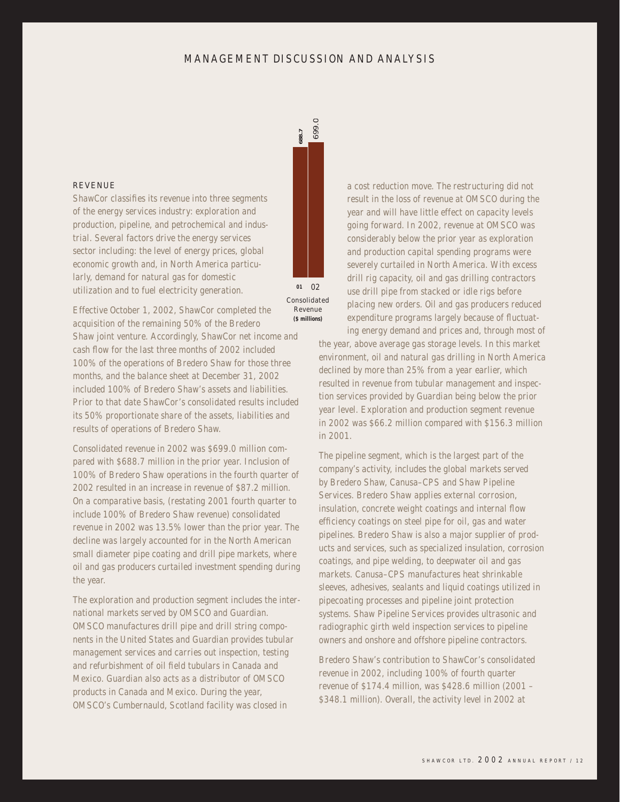# MANAGEMENT DISCUSSION AND ANALYSIS



Consolidated Revenue<br>(\$ millions)

Effective October 1, 2002, ShawCor completed the acquisition of the remaining 50% of the Bredero Shaw joint venture. Accordingly, ShawCor net income and cash flow for the last three months of 2002 included 100% of the operations of Bredero Shaw for those three months, and the balance sheet at December 31, 2002 included 100% of Bredero Shaw's assets and liabilities. Prior to that date ShawCor's consolidated results included its 50% proportionate share of the assets, liabilities and results of operations of Bredero Shaw.

ShawCor classifies its revenue into three segments of the energy services industry: exploration and production, pipeline, and petrochemical and industrial. Several factors drive the energy services sector including: the level of energy prices, global economic growth and, in North America particularly, demand for natural gas for domestic utilization and to fuel electricity generation.

REVENUE

Consolidated revenue in 2002 was \$699.0 million compared with \$688.7 million in the prior year. Inclusion of 100% of Bredero Shaw operations in the fourth quarter of 2002 resulted in an increase in revenue of \$87.2 million. On a comparative basis, (restating 2001 fourth quarter to include 100% of Bredero Shaw revenue) consolidated revenue in 2002 was 13.5% lower than the prior year. The decline was largely accounted for in the North American small diameter pipe coating and drill pipe markets, where oil and gas producers curtailed investment spending during the year.

The exploration and production segment includes the international markets served by OMSCO and Guardian. OMSCO manufactures drill pipe and drill string components in the United States and Guardian provides tubular management services and carries out inspection, testing and refurbishment of oil field tubulars in Canada and Mexico. Guardian also acts as a distributor of OMSCO products in Canada and Mexico. During the year, OMSCO's Cumbernauld, Scotland facility was closed in

a cost reduction move. The restructuring did not result in the loss of revenue at OMSCO during the year and will have little effect on capacity levels going forward. In 2002, revenue at OMSCO was considerably below the prior year as exploration and production capital spending programs were severely curtailed in North America. With excess drill rig capacity, oil and gas drilling contractors use drill pipe from stacked or idle rigs before placing new orders. Oil and gas producers reduced expenditure programs largely because of fluctuating energy demand and prices and, through most of

the year, above average gas storage levels. In this market environment, oil and natural gas drilling in North America declined by more than 25% from a year earlier, which resulted in revenue from tubular management and inspection services provided by Guardian being below the prior year level. Exploration and production segment revenue in 2002 was \$66.2 million compared with \$156.3 million in 2001.

The pipeline segment, which is the largest part of the company's activity, includes the global markets served by Bredero Shaw, Canusa–CPS and Shaw Pipeline Services. Bredero Shaw applies external corrosion, insulation, concrete weight coatings and internal flow efficiency coatings on steel pipe for oil, gas and water pipelines. Bredero Shaw is also a major supplier of products and services, such as specialized insulation, corrosion coatings, and pipe welding, to deepwater oil and gas markets. Canusa–CPS manufactures heat shrinkable sleeves, adhesives, sealants and liquid coatings utilized in pipecoating processes and pipeline joint protection systems. Shaw Pipeline Services provides ultrasonic and radiographic girth weld inspection services to pipeline owners and onshore and offshore pipeline contractors.

Bredero Shaw's contribution to ShawCor's consolidated revenue in 2002, including 100% of fourth quarter revenue of \$174.4 million, was \$428.6 million (2001 – \$348.1 million). Overall, the activity level in 2002 at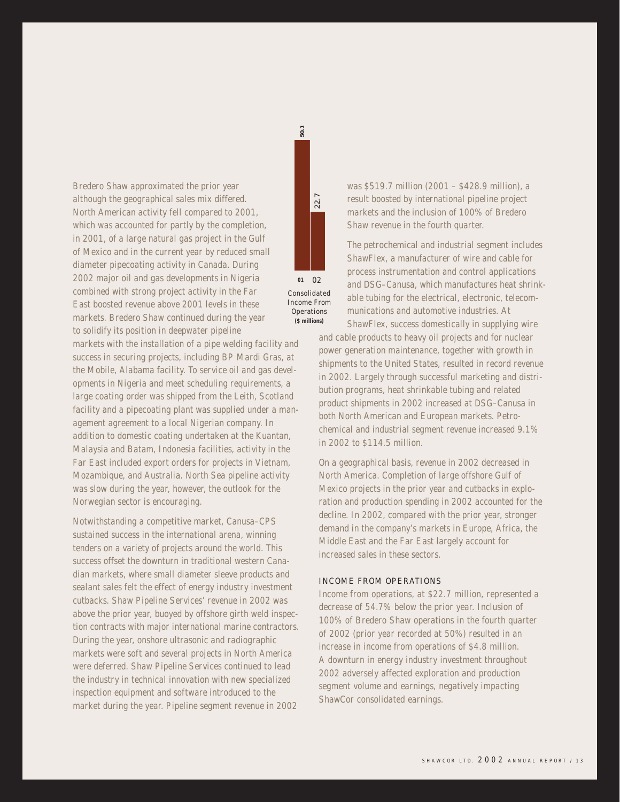Bredero Shaw approximated the prior year although the geographical sales mix differed. North American activity fell compared to 2001, which was accounted for partly by the completion, in 2001, of a large natural gas project in the Gulf of Mexico and in the current year by reduced small diameter pipecoating activity in Canada. During 2002 major oil and gas developments in Nigeria combined with strong project activity in the Far East boosted revenue above 2001 levels in these markets. Bredero Shaw continued during the year to solidify its position in deepwater pipeline markets with the installation of a pipe welding facility and

success in securing projects, including BP Mardi Gras, at the Mobile, Alabama facility. To service oil and gas developments in Nigeria and meet scheduling requirements, a large coating order was shipped from the Leith, Scotland facility and a pipecoating plant was supplied under a management agreement to a local Nigerian company. In addition to domestic coating undertaken at the Kuantan, Malaysia and Batam, Indonesia facilities, activity in the Far East included export orders for projects in Vietnam, Mozambique, and Australia. North Sea pipeline activity was slow during the year, however, the outlook for the Norwegian sector is encouraging.

Notwithstanding a competitive market, Canusa–CPS sustained success in the international arena, winning tenders on a variety of projects around the world. This success offset the downturn in traditional western Canadian markets, where small diameter sleeve products and sealant sales felt the effect of energy industry investment cutbacks. Shaw Pipeline Services' revenue in 2002 was above the prior year, buoyed by offshore girth weld inspection contracts with major international marine contractors. During the year, onshore ultrasonic and radiographic markets were soft and several projects in North America were deferred. Shaw Pipeline Services continued to lead the industry in technical innovation with new specialized inspection equipment and software introduced to the market during the year. Pipeline segment revenue in 2002



 $50.1$ 

was \$519.7 million (2001 – \$428.9 million), a result boosted by international pipeline project markets and the inclusion of 100% of Bredero Shaw revenue in the fourth quarter.

The petrochemical and industrial segment includes ShawFlex, a manufacturer of wire and cable for process instrumentation and control applications and DSG–Canusa, which manufactures heat shrinkable tubing for the electrical, electronic, telecommunications and automotive industries. At ShawFlex, success domestically in supplying wire

and cable products to heavy oil projects and for nuclear power generation maintenance, together with growth in shipments to the United States, resulted in record revenue in 2002. Largely through successful marketing and distribution programs, heat shrinkable tubing and related product shipments in 2002 increased at DSG–Canusa in both North American and European markets. Petrochemical and industrial segment revenue increased 9.1% in 2002 to \$114.5 million.

On a geographical basis, revenue in 2002 decreased in North America. Completion of large offshore Gulf of Mexico projects in the prior year and cutbacks in exploration and production spending in 2002 accounted for the decline. In 2002, compared with the prior year, stronger demand in the company's markets in Europe, Africa, the Middle East and the Far East largely account for increased sales in these sectors.

#### INCOME FROM OPERATIONS

Income from operations, at \$22.7 million, represented a decrease of 54.7% below the prior year. Inclusion of 100% of Bredero Shaw operations in the fourth quarter of 2002 (prior year recorded at 50%) resulted in an increase in income from operations of \$4.8 million. A downturn in energy industry investment throughout 2002 adversely affected exploration and production segment volume and earnings, negatively impacting ShawCor consolidated earnings.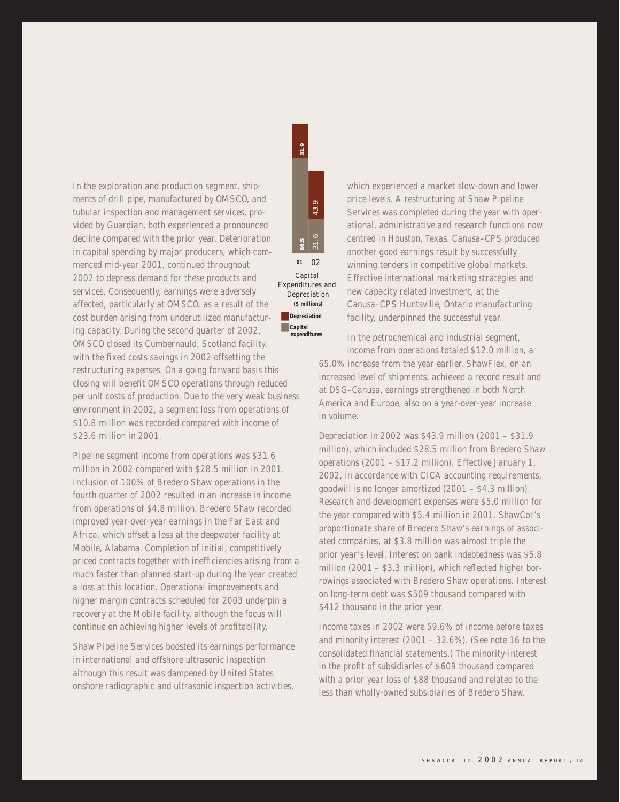In the exploration and production segment, shipments of drill pipe, manufactured by OMSCO, and tubular inspection and management services, provided by Guardian, both experienced a pronounced decline compared with the prior year. Deterioration in capital spending by major producers, which commenced mid-year 2001, continued throughout 2002 to depress demand for these products and services. Consequently, earnings were adversely affected, particularly at OMSCO, as a result of the cost burden arising from underutilized manufacturing capacity. During the second quarter of 2002, OMSCO closed its Cumbernauld, Scotland facility, with the fixed costs savings in 2002 offsetting the restructuring expenses. On a going forward basis this closing will benefit OMSCO operations through reduced per unit costs of production. Due to the very weak business environment in 2002, a segment loss from operations of \$10.8 million was recorded compared with income of \$23.6 million in 2001.

Pipeline segment income from operations was \$31.6 million in 2002 compared with \$28.5 million in 2001. Inclusion of 100% of Bredero Shaw operations in the fourth quarter of 2002 resulted in an increase in income from operations of \$4.8 million. Bredero Shaw recorded improved year-over-year earnings in the Far East and Africa, which offset a loss at the deepwater facility at Mobile, Alabama. Completion of initial, competitively priced contracts together with inefficiencies arising from a much faster than planned start-up during the year created a loss at this location. Operational improvements and higher margin contracts scheduled for 2003 underpin a recovery at the Mobile facility, although the focus will continue on achieving higher levels of profitability.

Shaw Pipeline Services boosted its earnings performance in international and offshore ultrasonic inspection although this result was dampened by United States onshore radiographic and ultrasonic inspection activities,



 $31.9$ 

Capital Expenditures and Depreciation (\$ millions) ■ **Depreciation** ■ **Capital expenditures**

which experienced a market slow-down and lower price levels. A restructuring at Shaw Pipeline Services was completed during the year with operational, administrative and research functions now centred in Houston, Texas. Canusa–CPS produced another good earnings result by successfully winning tenders in competitive global markets. Effective international marketing strategies and new capacity related investment, at the Canusa–CPS Huntsville, Ontario manufacturing facility, underpinned the successful year.

In the petrochemical and industrial segment, income from operations totaled \$12.0 million, a 65.0% increase from the year earlier. ShawFlex, on an increased level of shipments, achieved a record result and at DSG–Canusa, earnings strengthened in both North America and Europe, also on a year-over-year increase in volume.

Depreciation in 2002 was \$43.9 million (2001 – \$31.9 million), which included \$28.5 million from Bredero Shaw operations (2001 – \$17.2 million). Effective January 1, 2002, in accordance with CICA accounting requirements, goodwill is no longer amortized (2001 – \$4.3 million). Research and development expenses were \$5.0 million for the year compared with \$5.4 million in 2001. ShawCor's proportionate share of Bredero Shaw's earnings of associated companies, at \$3.8 million was almost triple the prior year's level. Interest on bank indebtedness was \$5.8 million (2001 – \$3.3 million), which reflected higher borrowings associated with Bredero Shaw operations. Interest on long-term debt was \$509 thousand compared with \$412 thousand in the prior year.

Income taxes in 2002 were 59.6% of income before taxes and minority interest (2001 – 32.6%). (See note 16 to the consolidated financial statements.) The minority-interest in the profit of subsidiaries of \$609 thousand compared with a prior year loss of \$88 thousand and related to the less than wholly-owned subsidiaries of Bredero Shaw.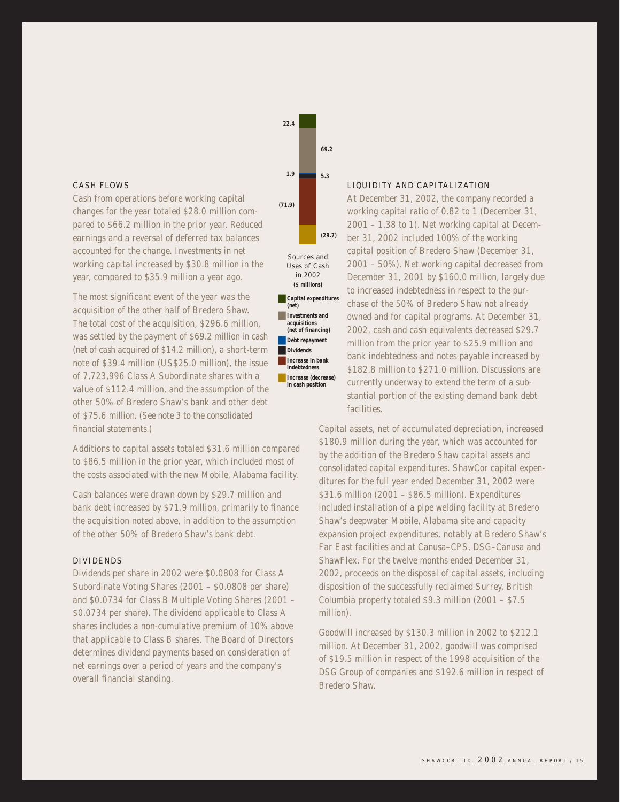#### CASH FLOWS

Cash from operations before working capital changes for the year totaled \$28.0 million compared to \$66.2 million in the prior year. Reduced earnings and a reversal of deferred tax balances accounted for the change. Investments in net working capital increased by \$30.8 million in the year, compared to \$35.9 million a year ago.

The most significant event of the year was the acquisition of the other half of Bredero Shaw. The total cost of the acquisition, \$296.6 million, was settled by the payment of \$69.2 million in cash (net of cash acquired of \$14.2 million), a short-term note of \$39.4 million (US\$25.0 million), the issue of 7,723,996 Class A Subordinate shares with a value of \$112.4 million, and the assumption of the other 50% of Bredero Shaw's bank and other debt of \$75.6 million. (See note 3 to the consolidated financial statements.)

Additions to capital assets totaled \$31.6 million compared to \$86.5 million in the prior year, which included most of the costs associated with the new Mobile, Alabama facility.

Cash balances were drawn down by \$29.7 million and bank debt increased by \$71.9 million, primarily to finance the acquisition noted above, in addition to the assumption of the other 50% of Bredero Shaw's bank debt.

#### DIVIDENDS

Dividends per share in 2002 were \$0.0808 for Class A Subordinate Voting Shares (2001 – \$0.0808 per share) and \$0.0734 for Class B Multiple Voting Shares (2001 – \$0.0734 per share). The dividend applicable to Class A shares includes a non-cumulative premium of 10% above that applicable to Class B shares. The Board of Directors determines dividend payments based on consideration of net earnings over a period of years and the company's overall financial standing.



**22.4**

■ **Increase in bank indebtedness** ■ **Increase (decrease) in cash position**

#### LIQUIDITY AND CAPITALIZATION

At December 31, 2002, the company recorded a working capital ratio of 0.82 to 1 (December 31, 2001 – 1.38 to 1). Net working capital at December 31, 2002 included 100% of the working **01** capital position of Bredero Shaw (December 31, 2001 – 50%). Net working capital decreased from December 31, 2001 by \$160.0 million, largely due to increased indebtedness in respect to the purchase of the 50% of Bredero Shaw not already owned and for capital programs. At December 31, 2002, cash and cash equivalents decreased \$29.7 million from the prior year to \$25.9 million and bank indebtedness and notes payable increased by \$182.8 million to \$271.0 million. Discussions are currently underway to extend the term of a substantial portion of the existing demand bank debt facilities.

Capital assets, net of accumulated depreciation, increased \$180.9 million during the year, which was accounted for by the addition of the Bredero Shaw capital assets and consolidated capital expenditures. ShawCor capital expenditures for the full year ended December 31, 2002 were \$31.6 million (2001 – \$86.5 million). Expenditures included installation of a pipe welding facility at Bredero Shaw's deepwater Mobile, Alabama site and capacity expansion project expenditures, notably at Bredero Shaw's Far East facilities and at Canusa–CPS, DSG–Canusa and ShawFlex. For the twelve months ended December 31, 2002, proceeds on the disposal of capital assets, including disposition of the successfully reclaimed Surrey, British Columbia property totaled \$9.3 million (2001 – \$7.5 million).

Goodwill increased by \$130.3 million in 2002 to \$212.1 million. At December 31, 2002, goodwill was comprised of \$19.5 million in respect of the 1998 acquisition of the DSG Group of companies and \$192.6 million in respect of Bredero Shaw.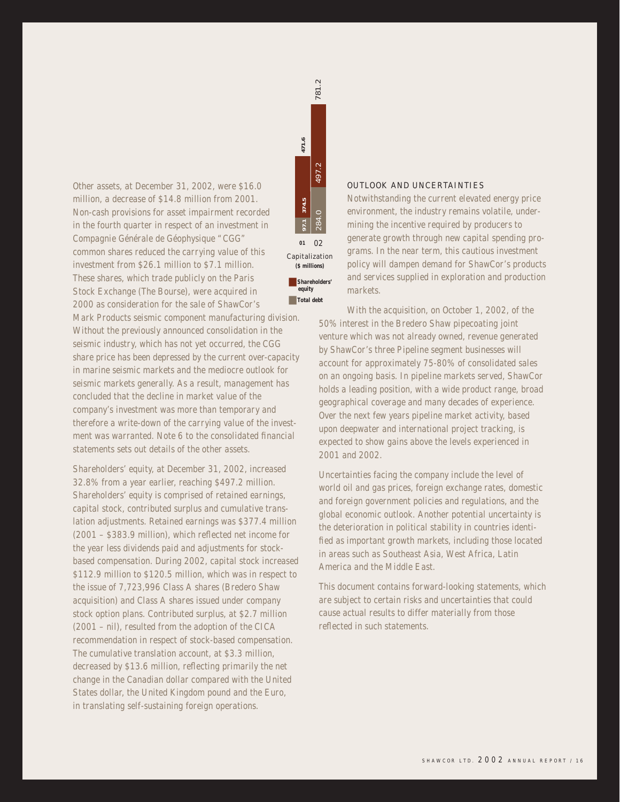Other assets, at December 31, 2002, were \$16.0 million, a decrease of \$14.8 million from 2001. Non-cash provisions for asset impairment recorded in the fourth quarter in respect of an investment in Compagnie Générale de Géophysique "CGG" common shares reduced the carrying value of this investment from \$26.1 million to \$7.1 million. These shares, which trade publicly on the Paris Stock Exchange (The Bourse), were acquired in 2000 as consideration for the sale of ShawCor's

Mark Products seismic component manufacturing division. Without the previously announced consolidation in the seismic industry, which has not yet occurred, the CGG share price has been depressed by the current over-capacity in marine seismic markets and the mediocre outlook for seismic markets generally. As a result, management has concluded that the decline in market value of the company's investment was more than temporary and therefore a write-down of the carrying value of the investment was warranted. Note 6 to the consolidated financial statements sets out details of the other assets.

Shareholders' equity, at December 31, 2002, increased 32.8% from a year earlier, reaching \$497.2 million. Shareholders' equity is comprised of retained earnings, capital stock, contributed surplus and cumulative translation adjustments. Retained earnings was \$377.4 million (2001 – \$383.9 million), which reflected net income for the year less dividends paid and adjustments for stockbased compensation. During 2002, capital stock increased \$112.9 million to \$120.5 million, which was in respect to the issue of 7,723,996 Class A shares (Bredero Shaw acquisition) and Class A shares issued under company stock option plans. Contributed surplus, at \$2.7 million (2001 – nil), resulted from the adoption of the CICA recommendation in respect of stock-based compensation. The cumulative translation account, at \$3.3 million, decreased by \$13.6 million, reflecting primarily the net change in the Canadian dollar compared with the United States dollar, the United Kingdom pound and the Euro, in translating self-sustaining foreign operations.



#### OUTLOOK AND UNCERTAINTIES

Notwithstanding the current elevated energy price environment, the industry remains volatile, undermining the incentive required by producers to generate growth through new capital spending programs. In the near term, this cautious investment policy will dampen demand for ShawCor's products and services supplied in exploration and production markets.

With the acquisition, on October 1, 2002, of the 50% interest in the Bredero Shaw pipecoating joint venture which was not already owned, revenue generated by ShawCor's three Pipeline segment businesses will account for approximately 75-80% of consolidated sales on an ongoing basis. In pipeline markets served, ShawCor holds a leading position, with a wide product range, broad geographical coverage and many decades of experience. Over the next few years pipeline market activity, based upon deepwater and international project tracking, is expected to show gains above the levels experienced in 2001 and 2002.

Uncertainties facing the company include the level of world oil and gas prices, foreign exchange rates, domestic and foreign government policies and regulations, and the global economic outlook. Another potential uncertainty is the deterioration in political stability in countries identified as important growth markets, including those located in areas such as Southeast Asia, West Africa, Latin America and the Middle East.

This document contains forward-looking statements, which are subject to certain risks and uncertainties that could cause actual results to differ materially from those reflected in such statements.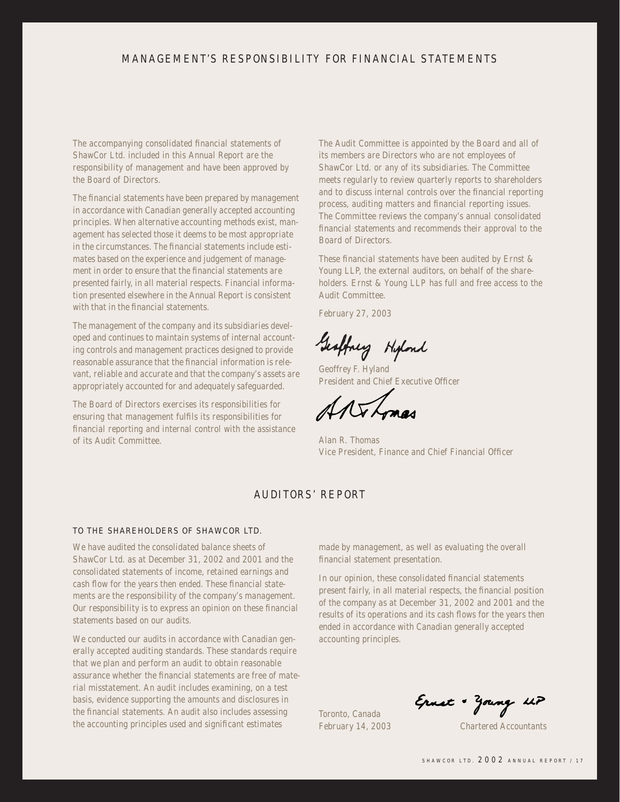# MANAGEMENT'S RESPONSIBILITY FOR FINANCIAL STATEMENTS

The accompanying consolidated financial statements of ShawCor Ltd. included in this Annual Report are the responsibility of management and have been approved by the Board of Directors.

The financial statements have been prepared by management in accordance with Canadian generally accepted accounting principles. When alternative accounting methods exist, management has selected those it deems to be most appropriate in the circumstances. The financial statements include estimates based on the experience and judgement of management in order to ensure that the financial statements are presented fairly, in all material respects. Financial information presented elsewhere in the Annual Report is consistent with that in the financial statements.

The management of the company and its subsidiaries developed and continues to maintain systems of internal accounting controls and management practices designed to provide reasonable assurance that the financial information is relevant, reliable and accurate and that the company's assets are appropriately accounted for and adequately safeguarded.

The Board of Directors exercises its responsibilities for ensuring that management fulfils its responsibilities for financial reporting and internal control with the assistance of its Audit Committee.

The Audit Committee is appointed by the Board and all of its members are Directors who are not employees of ShawCor Ltd. or any of its subsidiaries. The Committee meets regularly to review quarterly reports to shareholders and to discuss internal controls over the financial reporting process, auditing matters and financial reporting issues. The Committee reviews the company's annual consolidated financial statements and recommends their approval to the Board of Directors.

These financial statements have been audited by Ernst & Young LLP, the external auditors, on behalf of the shareholders. Ernst & Young LLP has full and free access to the Audit Committee.

February 27, 2003

Geoffney Hipland

Geoffrey F. Hyland President and Chief Executive Officer

Alan R. Thomas Vice President, Finance and Chief Financial Officer

# AUDITORS' REPORT

## TO THE SHAREHOLDERS OF SHAWCOR LTD.

We have audited the consolidated balance sheets of ShawCor Ltd. as at December 31, 2002 and 2001 and the consolidated statements of income, retained earnings and cash flow for the years then ended. These financial statements are the responsibility of the company's management. Our responsibility is to express an opinion on these financial statements based on our audits.

We conducted our audits in accordance with Canadian generally accepted auditing standards. These standards require that we plan and perform an audit to obtain reasonable assurance whether the financial statements are free of material misstatement. An audit includes examining, on a test basis, evidence supporting the amounts and disclosures in the financial statements. An audit also includes assessing the accounting principles used and significant estimates

made by management, as well as evaluating the overall financial statement presentation.

In our opinion, these consolidated financial statements present fairly, in all material respects, the financial position of the company as at December 31, 2002 and 2001 and the results of its operations and its cash flows for the years then ended in accordance with Canadian generally accepted accounting principles.

Toronto, Canada

Ernst + Zoung up

February 14, 2003 Chartered Accountants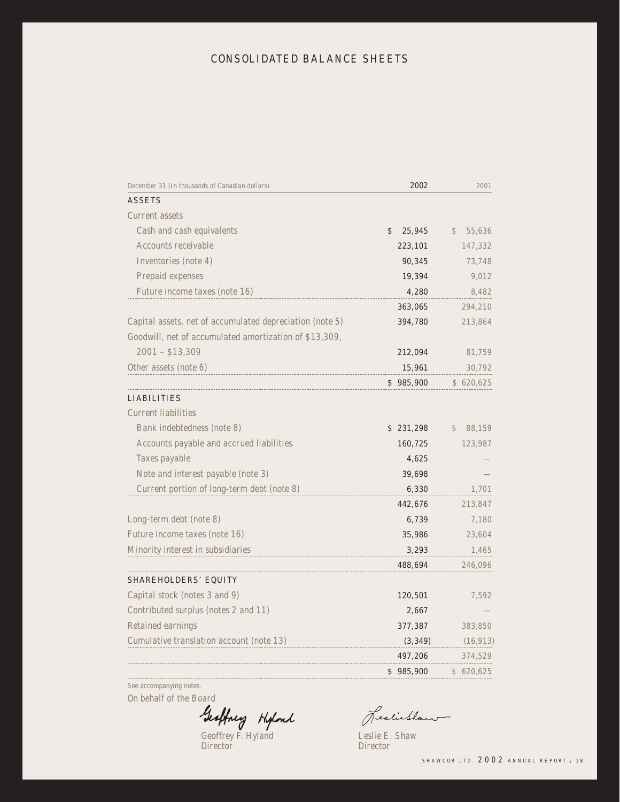# CONSOLIDATED BALANCE SHEETS

| December 31 (In thousands of Canadian dollars)           | 2002         | 2001         |
|----------------------------------------------------------|--------------|--------------|
| <b>ASSETS</b>                                            |              |              |
| Current assets                                           |              |              |
| Cash and cash equivalents                                | \$<br>25,945 | \$<br>55,636 |
| Accounts receivable                                      | 223,101      | 147,332      |
| Inventories (note 4)                                     | 90,345       | 73,748       |
| Prepaid expenses                                         | 19,394       | 9,012        |
| Future income taxes (note 16)                            | 4,280        | 8,482        |
|                                                          | 363,065      | 294,210      |
| Capital assets, net of accumulated depreciation (note 5) | 394,780      | 213,864      |
| Goodwill, net of accumulated amortization of \$13,309,   |              |              |
| $2001 - $13,309$                                         | 212,094      | 81,759       |
| Other assets (note 6)                                    | 15,961       | 30,792       |
|                                                          | \$985,900    | \$620,625    |
| <b>LIABILITIES</b>                                       |              |              |
| <b>Current liabilities</b>                               |              |              |
| Bank indebtedness (note 8)                               | \$231,298    | 88,159<br>\$ |
| Accounts payable and accrued liabilities                 | 160,725      | 123,987      |
| Taxes payable                                            | 4,625        |              |
| Note and interest payable (note 3)                       | 39,698       |              |
| Current portion of long-term debt (note 8)               | 6,330        | 1,701        |
|                                                          | 442,676      | 213,847      |
| Long-term debt (note 8)                                  | 6,739        | 7,180        |
| Future income taxes (note 16)                            | 35,986       | 23,604       |
| Minority interest in subsidiaries                        | 3,293        | 1,465        |
|                                                          | 488,694      | 246,096      |
| <b>SHAREHOLDERS' EQUITY</b>                              |              |              |
| Capital stock (notes 3 and 9)                            | 120,501      | 7,592        |
| Contributed surplus (notes 2 and 11)                     | 2,667        |              |
| Retained earnings                                        | 377,387      | 383,850      |
| Cumulative translation account (note 13)                 | (3, 349)     | (16, 913)    |
|                                                          | 497,206      | 374,529      |
|                                                          | \$985,900    | \$620,625    |
| See accompanying notes.                                  |              |              |

On behalf of the Board

Geoffrey F. Hyland Leslie E. Shaw Director Director

Reslishan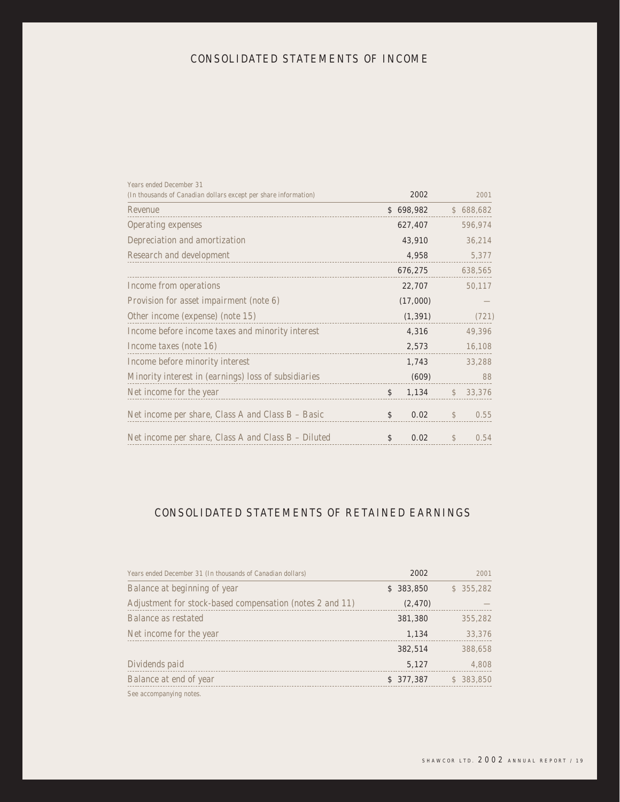# CONSOLIDATED STATEMENTS OF INCOME

| Years ended December 31<br>(In thousands of Canadian dollars except per share information) | 2002        |               | 2001      |
|--------------------------------------------------------------------------------------------|-------------|---------------|-----------|
| Revenue                                                                                    | \$698,982   |               | \$688,682 |
| Operating expenses                                                                         | 627,407     |               | 596,974   |
| Depreciation and amortization                                                              | 43,910      |               | 36,214    |
| Research and development                                                                   | 4,958       |               | 5,377     |
|                                                                                            | 676,275     |               | 638,565   |
| Income from operations                                                                     | 22,707      |               | 50,117    |
| Provision for asset impairment (note 6)                                                    | (17,000)    |               |           |
| Other income (expense) (note 15)                                                           | (1, 391)    |               | (721)     |
| Income before income taxes and minority interest                                           | 4,316       |               | 49,396    |
| Income taxes (note 16)                                                                     | 2,573       |               | 16,108    |
| Income before minority interest                                                            | 1,743       |               | 33,288    |
| Minority interest in (earnings) loss of subsidiaries                                       | (609)       |               | 88        |
| Net income for the year                                                                    | 1,134<br>\$ | $\mathcal{L}$ | 33,376    |
| Net income per share, Class A and Class B - Basic                                          | \$<br>0.02  | $\mathcal{S}$ | 0.55      |
| Net income per share, Class A and Class B – Diluted                                        | 0.02<br>\$  | $\mathcal{L}$ | 0.54      |

# CONSOLIDATED STATEMENTS OF RETAINED EARNINGS

| Years ended December 31 (In thousands of Canadian dollars) | 2002      | 2001       |
|------------------------------------------------------------|-----------|------------|
| Balance at beginning of year                               | \$383,850 | \$355,282  |
| Adjustment for stock-based compensation (notes 2 and 11)   | (2, 470)  |            |
| Balance as restated                                        | 381,380   | 355,282    |
| Net income for the year                                    | 1,134     | 33,376     |
|                                                            | 382,514   | 388,658    |
| Dividends paid                                             | 5,127     | 4,808      |
| Balance at end of year                                     | \$377,387 | \$ 383,850 |
| See accompanying notes.                                    |           |            |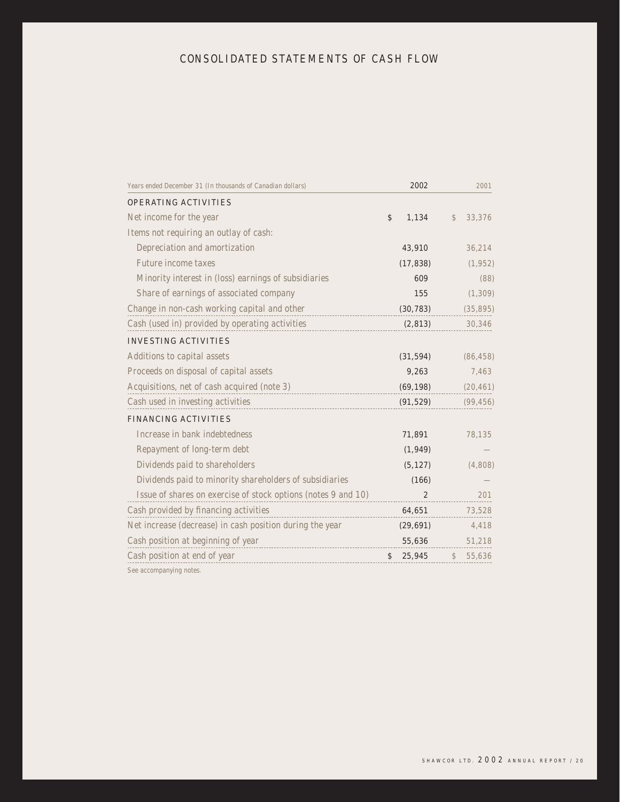# CONSOLIDATED STATEMENTS OF CASH FLOW

| Years ended December 31 (In thousands of Canadian dollars)    | 2002           | 2001                    |
|---------------------------------------------------------------|----------------|-------------------------|
| <b>OPERATING ACTIVITIES</b>                                   |                |                         |
| Net income for the year                                       | \$<br>1,134    | 33,376<br>$\mathcal{S}$ |
| Items not requiring an outlay of cash:                        |                |                         |
| Depreciation and amortization                                 | 43,910         | 36,214                  |
| Future income taxes                                           | (17, 838)      | (1, 952)                |
| Minority interest in (loss) earnings of subsidiaries          | 609            | (88)                    |
| Share of earnings of associated company                       | 155            | (1, 309)                |
| Change in non-cash working capital and other                  | (30, 783)      | (35, 895)               |
| Cash (used in) provided by operating activities               | (2, 813)       | 30,346                  |
| <b>INVESTING ACTIVITIES</b>                                   |                |                         |
| Additions to capital assets                                   | (31, 594)      | (86, 458)               |
| Proceeds on disposal of capital assets                        | 9,263          | 7,463                   |
| Acquisitions, net of cash acquired (note 3)                   | (69, 198)      | (20, 461)               |
| Cash used in investing activities                             | (91, 529)      | (99, 456)               |
| <b>FINANCING ACTIVITIES</b>                                   |                |                         |
| Increase in bank indebtedness                                 | 71,891         | 78,135                  |
| Repayment of long-term debt                                   | (1, 949)       |                         |
| Dividends paid to shareholders                                | (5, 127)       | (4,808)                 |
| Dividends paid to minority shareholders of subsidiaries       | (166)          |                         |
| Issue of shares on exercise of stock options (notes 9 and 10) | $\overline{2}$ | 201                     |
| Cash provided by financing activities                         | 64,651         | 73,528                  |
| Net increase (decrease) in cash position during the year      | (29, 691)      | 4,418                   |
| Cash position at beginning of year                            | 55,636         | 51,218                  |
| Cash position at end of year                                  | 25,945<br>\$   | 55,636<br>$\mathcal{S}$ |
|                                                               |                |                         |

See accompanying notes.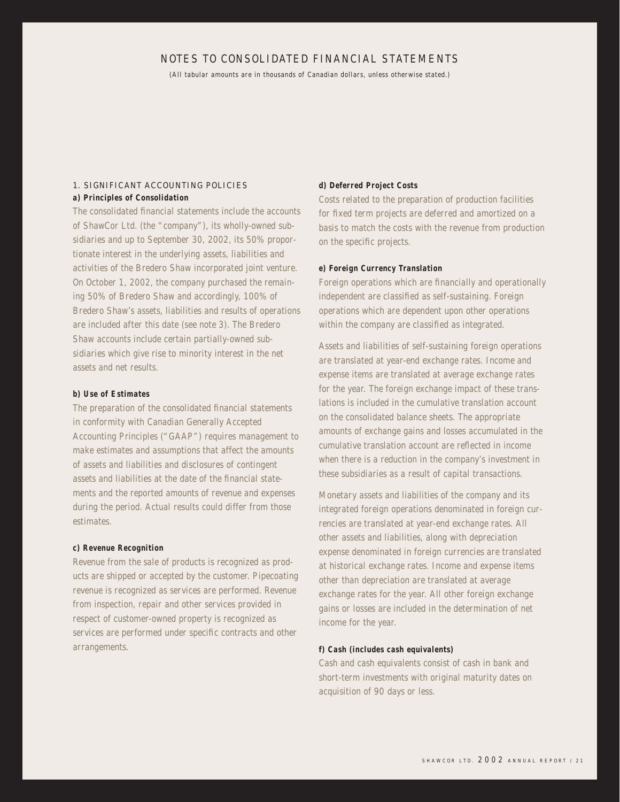# NOTES TO CONSOLIDATED FINANCIAL STATEMENTS

(All tabular amounts are in thousands of Canadian dollars, unless otherwise stated.)

# 1. SIGNIFICANT ACCOUNTING POLICIES

**a) Principles of Consolidation**

The consolidated financial statements include the accounts of ShawCor Ltd. (the "company"), its wholly-owned subsidiaries and up to September 30, 2002, its 50% proportionate interest in the underlying assets, liabilities and activities of the Bredero Shaw incorporated joint venture. On October 1, 2002, the company purchased the remaining 50% of Bredero Shaw and accordingly, 100% of Bredero Shaw's assets, liabilities and results of operations are included after this date (see note 3). The Bredero Shaw accounts include certain partially-owned subsidiaries which give rise to minority interest in the net assets and net results.

#### **b) Use of Estimates**

The preparation of the consolidated financial statements in conformity with Canadian Generally Accepted Accounting Principles ("GAAP") requires management to make estimates and assumptions that affect the amounts of assets and liabilities and disclosures of contingent assets and liabilities at the date of the financial statements and the reported amounts of revenue and expenses during the period. Actual results could differ from those estimates.

#### **c) Revenue Recognition**

Revenue from the sale of products is recognized as products are shipped or accepted by the customer. Pipecoating revenue is recognized as services are performed. Revenue from inspection, repair and other services provided in respect of customer-owned property is recognized as services are performed under specific contracts and other arrangements.

#### **d) Deferred Project Costs**

Costs related to the preparation of production facilities for fixed term projects are deferred and amortized on a basis to match the costs with the revenue from production on the specific projects.

#### **e) Foreign Currency Translation**

Foreign operations which are financially and operationally independent are classified as self-sustaining. Foreign operations which are dependent upon other operations within the company are classified as integrated.

Assets and liabilities of self-sustaining foreign operations are translated at year-end exchange rates. Income and expense items are translated at average exchange rates for the year. The foreign exchange impact of these translations is included in the cumulative translation account on the consolidated balance sheets. The appropriate amounts of exchange gains and losses accumulated in the cumulative translation account are reflected in income when there is a reduction in the company's investment in these subsidiaries as a result of capital transactions.

Monetary assets and liabilities of the company and its integrated foreign operations denominated in foreign currencies are translated at year-end exchange rates. All other assets and liabilities, along with depreciation expense denominated in foreign currencies are translated at historical exchange rates. Income and expense items other than depreciation are translated at average exchange rates for the year. All other foreign exchange gains or losses are included in the determination of net income for the year.

## **f) Cash (includes cash equivalents)**

Cash and cash equivalents consist of cash in bank and short-term investments with original maturity dates on acquisition of 90 days or less.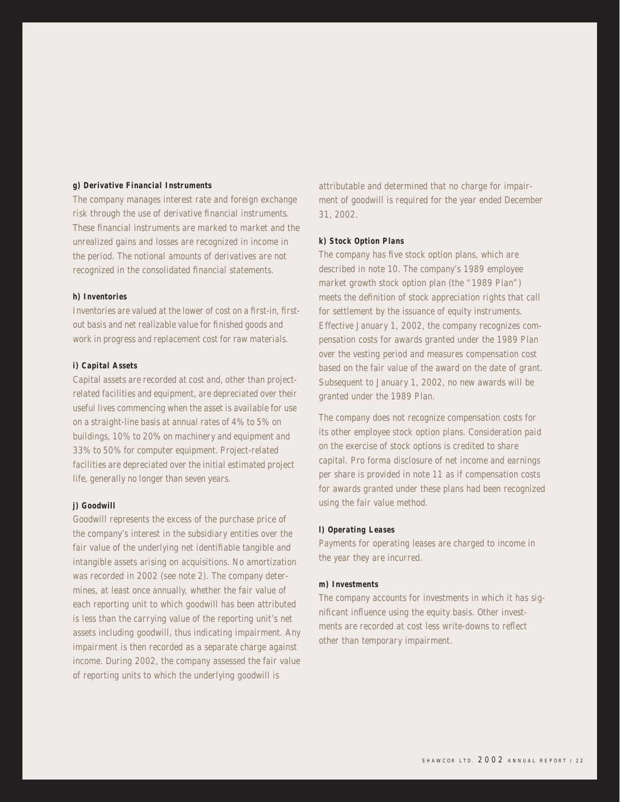# **g) Derivative Financial Instruments**

The company manages interest rate and foreign exchange risk through the use of derivative financial instruments. These financial instruments are marked to market and the unrealized gains and losses are recognized in income in the period. The notional amounts of derivatives are not recognized in the consolidated financial statements.

#### **h) Inventories**

Inventories are valued at the lower of cost on a first-in, firstout basis and net realizable value for finished goods and work in progress and replacement cost for raw materials.

#### **i) Capital Assets**

Capital assets are recorded at cost and, other than projectrelated facilities and equipment, are depreciated over their useful lives commencing when the asset is available for use on a straight-line basis at annual rates of 4% to 5% on buildings, 10% to 20% on machinery and equipment and 33% to 50% for computer equipment. Project-related facilities are depreciated over the initial estimated project life, generally no longer than seven years.

#### **j) Goodwill**

Goodwill represents the excess of the purchase price of the company's interest in the subsidiary entities over the fair value of the underlying net identifiable tangible and intangible assets arising on acquisitions. No amortization was recorded in 2002 (see note 2). The company determines, at least once annually, whether the fair value of each reporting unit to which goodwill has been attributed is less than the carrying value of the reporting unit's net assets including goodwill, thus indicating impairment. Any impairment is then recorded as a separate charge against income. During 2002, the company assessed the fair value of reporting units to which the underlying goodwill is

attributable and determined that no charge for impairment of goodwill is required for the year ended December 31, 2002.

#### **k) Stock Option Plans**

The company has five stock option plans, which are described in note 10. The company's 1989 employee market growth stock option plan (the "1989 Plan") meets the definition of stock appreciation rights that call for settlement by the issuance of equity instruments. Effective January 1, 2002, the company recognizes compensation costs for awards granted under the 1989 Plan over the vesting period and measures compensation cost based on the fair value of the award on the date of grant. Subsequent to January 1, 2002, no new awards will be granted under the 1989 Plan.

The company does not recognize compensation costs for its other employee stock option plans. Consideration paid on the exercise of stock options is credited to share capital. Pro forma disclosure of net income and earnings per share is provided in note 11 as if compensation costs for awards granted under these plans had been recognized using the fair value method.

#### **l) Operating Leases**

Payments for operating leases are charged to income in the year they are incurred.

## **m) Investments**

The company accounts for investments in which it has significant influence using the equity basis. Other investments are recorded at cost less write-downs to reflect other than temporary impairment.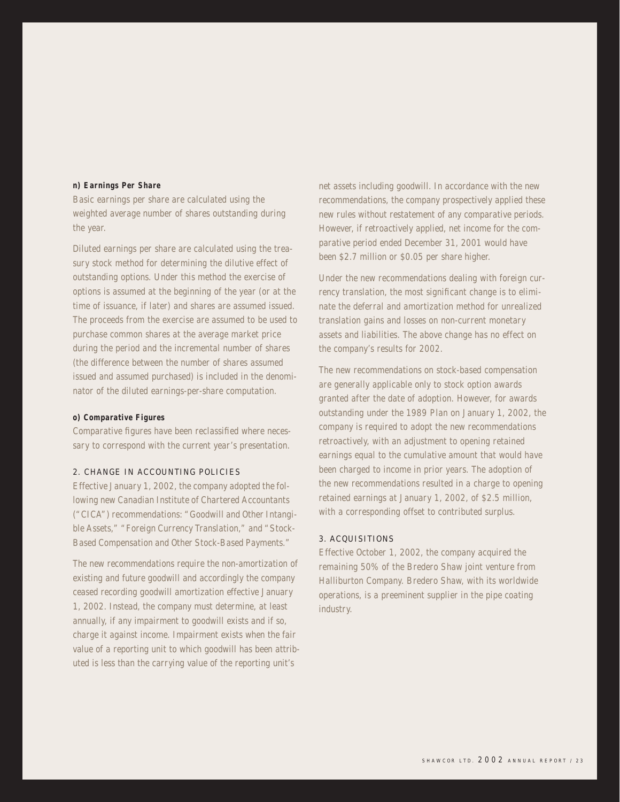#### **n) Earnings Per Share**

Basic earnings per share are calculated using the weighted average number of shares outstanding during the year.

Diluted earnings per share are calculated using the treasury stock method for determining the dilutive effect of outstanding options. Under this method the exercise of options is assumed at the beginning of the year (or at the time of issuance, if later) and shares are assumed issued. The proceeds from the exercise are assumed to be used to purchase common shares at the average market price during the period and the incremental number of shares (the difference between the number of shares assumed issued and assumed purchased) is included in the denominator of the diluted earnings-per-share computation.

#### **o) Comparative Figures**

Comparative figures have been reclassified where necessary to correspond with the current year's presentation.

#### 2. CHANGE IN ACCOUNTING POLICIES

Effective January 1, 2002, the company adopted the following new Canadian Institute of Chartered Accountants ("CICA") recommendations: "Goodwill and Other Intangible Assets," "Foreign Currency Translation," and "Stock-Based Compensation and Other Stock-Based Payments."

The new recommendations require the non-amortization of existing and future goodwill and accordingly the company ceased recording goodwill amortization effective January 1, 2002. Instead, the company must determine, at least annually, if any impairment to goodwill exists and if so, charge it against income. Impairment exists when the fair value of a reporting unit to which goodwill has been attributed is less than the carrying value of the reporting unit's

net assets including goodwill. In accordance with the new recommendations, the company prospectively applied these new rules without restatement of any comparative periods. However, if retroactively applied, net income for the comparative period ended December 31, 2001 would have been \$2.7 million or \$0.05 per share higher.

Under the new recommendations dealing with foreign currency translation, the most significant change is to eliminate the deferral and amortization method for unrealized translation gains and losses on non-current monetary assets and liabilities. The above change has no effect on the company's results for 2002.

The new recommendations on stock-based compensation are generally applicable only to stock option awards granted after the date of adoption. However, for awards outstanding under the 1989 Plan on January 1, 2002, the company is required to adopt the new recommendations retroactively, with an adjustment to opening retained earnings equal to the cumulative amount that would have been charged to income in prior years. The adoption of the new recommendations resulted in a charge to opening retained earnings at January 1, 2002, of \$2.5 million, with a corresponding offset to contributed surplus.

#### 3. ACQUISITIONS

Effective October 1, 2002, the company acquired the remaining 50% of the Bredero Shaw joint venture from Halliburton Company. Bredero Shaw, with its worldwide operations, is a preeminent supplier in the pipe coating industry.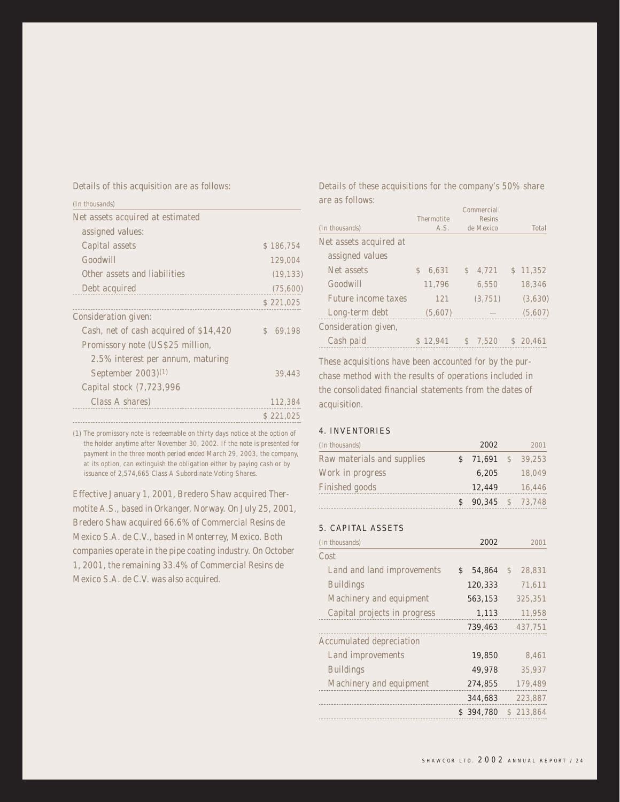Details of this acquisition are as follows:

| (In thousands)                         |                        |
|----------------------------------------|------------------------|
| Net assets acquired at estimated       |                        |
| assigned values:                       |                        |
| Capital assets                         | \$186,754              |
| Goodwill                               | 129,004                |
| Other assets and liabilities           | (19, 133)              |
| Debt acquired                          | (75,600)               |
|                                        | \$221,025              |
| Consideration given:                   |                        |
| Cash, net of cash acquired of \$14,420 | 69.198<br>$\mathbb{S}$ |
| Promissory note (US\$25 million,       |                        |
| 2.5% interest per annum, maturing      |                        |
| September 2003) <sup>(1)</sup>         | 39,443                 |
| Capital stock (7,723,996               |                        |
| Class A shares)                        | 112,384                |
|                                        | \$221,025              |

(1) The promissory note is redeemable on thirty days notice at the option of the holder anytime after November 30, 2002. If the note is presented for payment in the three month period ended March 29, 2003, the company, at its option, can extinguish the obligation either by paying cash or by issuance of 2,574,665 Class A Subordinate Voting Shares.

Effective January 1, 2001, Bredero Shaw acquired Thermotite A.S., based in Orkanger, Norway. On July 25, 2001, Bredero Shaw acquired 66.6% of Commercial Resins de Mexico S.A. de C.V., based in Monterrey, Mexico. Both companies operate in the pipe coating industry. On October 1, 2001, the remaining 33.4% of Commercial Resins de Mexico S.A. de C.V. was also acquired.

Details of these acquisitions for the company's 50% share are as follows:

| (In thousands)         | Thermotite<br>A.S. | Commercial<br><b>Resins</b><br>de Mexico | Total    |
|------------------------|--------------------|------------------------------------------|----------|
| Net assets acquired at |                    |                                          |          |
| assigned values        |                    |                                          |          |
| Net assets             | 6.631<br>\$.       | 4,721<br>$\mathbb{S}$                    | \$11,352 |
| Goodwill               | 11,796             | 6.550                                    | 18,346   |
| Future income taxes    | 121                | (3, 751)                                 | (3,630)  |
| Long-term debt         | (5,607)            |                                          | (5,607)  |
| Consideration given,   |                    |                                          |          |
| Cash paid              | \$12.941           | \$7.520                                  | \$20.461 |

These acquisitions have been accounted for by the purchase method with the results of operations included in the consolidated financial statements from the dates of acquisition.

## 4. INVENTORIES

| (In thousands)             | 2002                    | 2001     |
|----------------------------|-------------------------|----------|
| Raw materials and supplies | \$71,691                | \$39.253 |
| Work in progress           | 6,205                   | 18.049   |
| Finished goods             | 12,449                  | 16,446   |
|                            | <b>90.345</b> \$ 73.748 |          |

## 5. CAPITAL ASSETS

| (In thousands)               | 2002         | 2001                    |
|------------------------------|--------------|-------------------------|
| Cost                         |              |                         |
| Land and land improvements   | 54.864<br>\$ | 28.831<br>$\mathcal{L}$ |
| <b>Buildings</b>             | 120,333      | 71,611                  |
| Machinery and equipment      | 563,153      | 325.351                 |
| Capital projects in progress | 1,113        | 11,958                  |
|                              | 739,463      | 437,751                 |
| Accumulated depreciation     |              |                         |
| Land improvements            | 19,850       | 8.461                   |
| <b>Buildings</b>             | 49,978       | 35.937                  |
| Machinery and equipment      | 274,855      | 179.489                 |
|                              | 344,683      | 223,887                 |
|                              | \$394,780    | \$213.864               |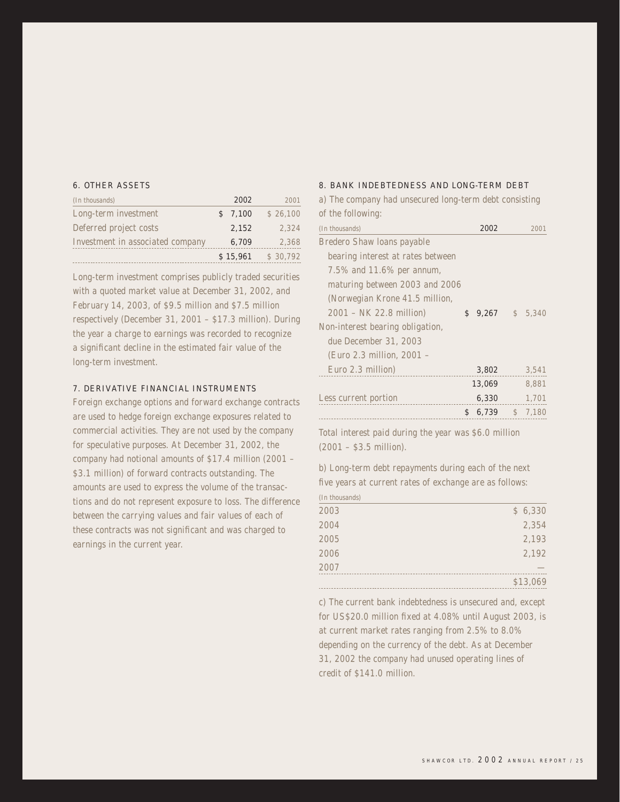# 6. OTHER ASSETS

| (In thousands)                   | 2002     | 2001     |
|----------------------------------|----------|----------|
| Long-term investment             | \$7,100  | \$26,100 |
| Deferred project costs           | 2,152    | 2.324    |
| Investment in associated company | 6,709    | 2.368    |
|                                  | \$15,961 | \$30.792 |

Long-term investment comprises publicly traded securities with a quoted market value at December 31, 2002, and February 14, 2003, of \$9.5 million and \$7.5 million respectively (December 31, 2001 – \$17.3 million). During the year a charge to earnings was recorded to recognize a significant decline in the estimated fair value of the long-term investment.

#### 7. DERIVATIVE FINANCIAL INSTRUMENTS

Foreign exchange options and forward exchange contracts are used to hedge foreign exchange exposures related to commercial activities. They are not used by the company for speculative purposes. At December 31, 2002, the company had notional amounts of \$17.4 million (2001 – \$3.1 million) of forward contracts outstanding. The amounts are used to express the volume of the transactions and do not represent exposure to loss. The difference between the carrying values and fair values of each of these contracts was not significant and was charged to earnings in the current year.

#### 8. BANK INDEBTEDNESS AND LONG-TERM DEBT

a) The company had unsecured long-term debt consisting of the following:

| (In thousands)                    | 2002        | 2001    |
|-----------------------------------|-------------|---------|
| Bredero Shaw Ioans payable        |             |         |
| bearing interest at rates between |             |         |
| 7.5% and 11.6% per annum,         |             |         |
| maturing between 2003 and 2006    |             |         |
| (Norwegian Krone 41.5 million,    |             |         |
| 2001 – NK 22.8 million)           | \$<br>9,267 | \$5.340 |
| Non-interest bearing obligation,  |             |         |
| due December 31, 2003             |             |         |
| (Euro 2.3 million, 2001 -         |             |         |
| Euro 2.3 million)                 | 3,802       | 3,541   |
|                                   | 13,069      | 8,881   |
| Less current portion              | 6,330       | 1,701   |
|                                   | \$<br>6,739 | \$7,180 |

Total interest paid during the year was \$6.0 million (2001 – \$3.5 million).

b) Long-term debt repayments during each of the next five years at current rates of exchange are as follows: (In thousands)

| (THE LITUQUOITUS) |          |
|-------------------|----------|
| 2003              | \$6,330  |
| 2004              | 2,354    |
| 2005              | 2,193    |
| 2006              | 2,192    |
| 2007              |          |
|                   | \$13,069 |
|                   |          |

c) The current bank indebtedness is unsecured and, except for US\$20.0 million fixed at 4.08% until August 2003, is at current market rates ranging from 2.5% to 8.0% depending on the currency of the debt. As at December 31, 2002 the company had unused operating lines of credit of \$141.0 million.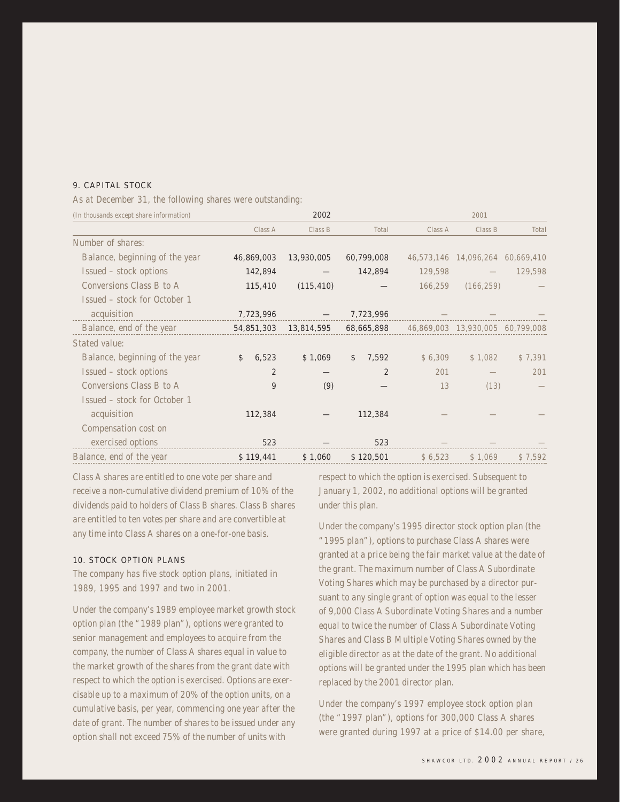# 9. CAPITAL STOCK

As at December 31, the following shares were outstanding:

| (In thousands except share information) |                | 2002       |                |         | 2001                             |         |
|-----------------------------------------|----------------|------------|----------------|---------|----------------------------------|---------|
|                                         | Class A        | Class B    | Total          | Class A | Class B                          | Total   |
| Number of shares:                       |                |            |                |         |                                  |         |
| Balance, beginning of the year          | 46,869,003     | 13,930,005 | 60,799,008     |         | 46,573,146 14,096,264 60,669,410 |         |
| Issued – stock options                  | 142,894        |            | 142,894        | 129,598 |                                  | 129,598 |
| Conversions Class B to A                | 115,410        | (115, 410) |                | 166,259 | (166, 259)                       |         |
| Issued – stock for October 1            |                |            |                |         |                                  |         |
| acquisition                             | 7,723,996      |            | 7,723,996      |         |                                  |         |
| Balance, end of the year                | 54,851,303     | 13,814,595 | 68,665,898     |         | 46,869,003 13,930,005 60,799,008 |         |
| Stated value:                           |                |            |                |         |                                  |         |
| Balance, beginning of the year          | \$<br>6,523    | \$1,069    | 7,592<br>\$    | \$6,309 | \$1,082                          | \$7,391 |
| Issued – stock options                  | $\overline{2}$ |            | $\overline{2}$ | 201     |                                  | 201     |
| Conversions Class B to A                | 9              | (9)        |                | 13      | (13)                             |         |
| Issued – stock for October 1            |                |            |                |         |                                  |         |
| acquisition                             | 112,384        |            | 112,384        |         |                                  |         |
| Compensation cost on                    |                |            |                |         |                                  |         |
| exercised options                       | 523            |            | 523            |         |                                  |         |
| Balance, end of the year                | \$119,441      | \$1,060    | \$120,501      | \$6,523 | \$1,069                          | \$7,592 |

Class A shares are entitled to one vote per share and receive a non-cumulative dividend premium of 10% of the dividends paid to holders of Class B shares. Class B shares are entitled to ten votes per share and are convertible at any time into Class A shares on a one-for-one basis.

#### 10. STOCK OPTION PLANS

The company has five stock option plans, initiated in 1989, 1995 and 1997 and two in 2001.

Under the company's 1989 employee market growth stock option plan (the "1989 plan"), options were granted to senior management and employees to acquire from the company, the number of Class A shares equal in value to the market growth of the shares from the grant date with respect to which the option is exercised. Options are exercisable up to a maximum of 20% of the option units, on a cumulative basis, per year, commencing one year after the date of grant. The number of shares to be issued under any option shall not exceed 75% of the number of units with

respect to which the option is exercised. Subsequent to January 1, 2002, no additional options will be granted under this plan.

Under the company's 1995 director stock option plan (the "1995 plan"), options to purchase Class A shares were granted at a price being the fair market value at the date of the grant. The maximum number of Class A Subordinate Voting Shares which may be purchased by a director pursuant to any single grant of option was equal to the lesser of 9,000 Class A Subordinate Voting Shares and a number equal to twice the number of Class A Subordinate Voting Shares and Class B Multiple Voting Shares owned by the eligible director as at the date of the grant. No additional options will be granted under the 1995 plan which has been replaced by the 2001 director plan.

Under the company's 1997 employee stock option plan (the "1997 plan"), options for 300,000 Class A shares were granted during 1997 at a price of \$14.00 per share,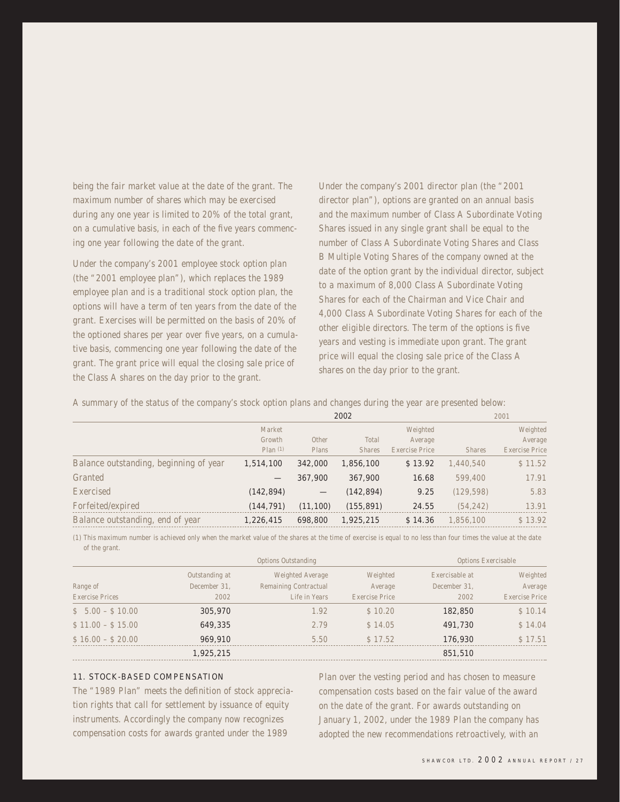being the fair market value at the date of the grant. The maximum number of shares which may be exercised during any one year is limited to 20% of the total grant, on a cumulative basis, in each of the five years commencing one year following the date of the grant.

Under the company's 2001 employee stock option plan (the "2001 employee plan"), which replaces the 1989 employee plan and is a traditional stock option plan, the options will have a term of ten years from the date of the grant. Exercises will be permitted on the basis of 20% of the optioned shares per year over five years, on a cumulative basis, commencing one year following the date of the grant. The grant price will equal the closing sale price of the Class A shares on the day prior to the grant.

Under the company's 2001 director plan (the "2001 director plan"), options are granted on an annual basis and the maximum number of Class A Subordinate Voting Shares issued in any single grant shall be equal to the number of Class A Subordinate Voting Shares and Class B Multiple Voting Shares of the company owned at the date of the option grant by the individual director, subject to a maximum of 8,000 Class A Subordinate Voting Shares for each of the Chairman and Vice Chair and 4,000 Class A Subordinate Voting Shares for each of the other eligible directors. The term of the options is five years and vesting is immediate upon grant. The grant price will equal the closing sale price of the Class A shares on the day prior to the grant.

A summary of the status of the company's stock option plans and changes during the year are presented below:

|                                        | 2002       |                          |               | 2001           |               |                |
|----------------------------------------|------------|--------------------------|---------------|----------------|---------------|----------------|
|                                        | Market     |                          |               | Weighted       |               | Weighted       |
|                                        | Growth     | Other                    | Total         | Average        |               | Average        |
|                                        | Plan(1)    | Plans                    | <b>Shares</b> | Exercise Price | <b>Shares</b> | Exercise Price |
| Balance outstanding, beginning of year | 1,514,100  | 342,000                  | 1,856,100     | \$13.92        | 1,440,540     | \$11.52        |
| Granted                                |            | 367.900                  | 367,900       | 16.68          | 599,400       | 17.91          |
| Exercised                              | (142, 894) | $\overline{\phantom{m}}$ | (142, 894)    | 9.25           | (129, 598)    | 5.83           |
| Forfeited/expired                      | (144, 791) | (11, 100)                | (155, 891)    | 24.55          | (54, 242)     | 13.91          |
| Balance outstanding, end of year       | 1,226,415  | 698,800                  | 1.925.215     | \$14.36        | 1.856.100     | \$13.92        |

(1) This maximum number is achieved only when the market value of the shares at the time of exercise is equal to no less than four times the value at the date of the grant.

| Options Outstanding    |                | Options Exercisable   |                |                |                       |
|------------------------|----------------|-----------------------|----------------|----------------|-----------------------|
|                        | Outstanding at | Weighted Average      | Weighted       | Exercisable at | Weighted              |
| Range of               | December 31,   | Remaining Contractual | Average        | December 31,   | Average               |
| <b>Exercise Prices</b> | 2002           | Life in Years         | Exercise Price | 2002           | <b>Exercise Price</b> |
| $$5.00 - $10.00$       | 305,970        | 1.92                  | \$10.20        | 182,850        | \$10.14               |
| $$11.00 - $15.00$      | 649,335        | 2.79                  | \$14.05        | 491,730        | \$14.04               |
| $$16.00 - $20.00$      | 969,910        | 5.50                  | \$17.52        | 176,930        | \$17.51               |
|                        | 1,925,215      |                       |                | 851,510        |                       |

## 11. STOCK-BASED COMPENSATION

The "1989 Plan" meets the definition of stock appreciation rights that call for settlement by issuance of equity instruments. Accordingly the company now recognizes compensation costs for awards granted under the 1989

Plan over the vesting period and has chosen to measure compensation costs based on the fair value of the award on the date of the grant. For awards outstanding on January 1, 2002, under the 1989 Plan the company has adopted the new recommendations retroactively, with an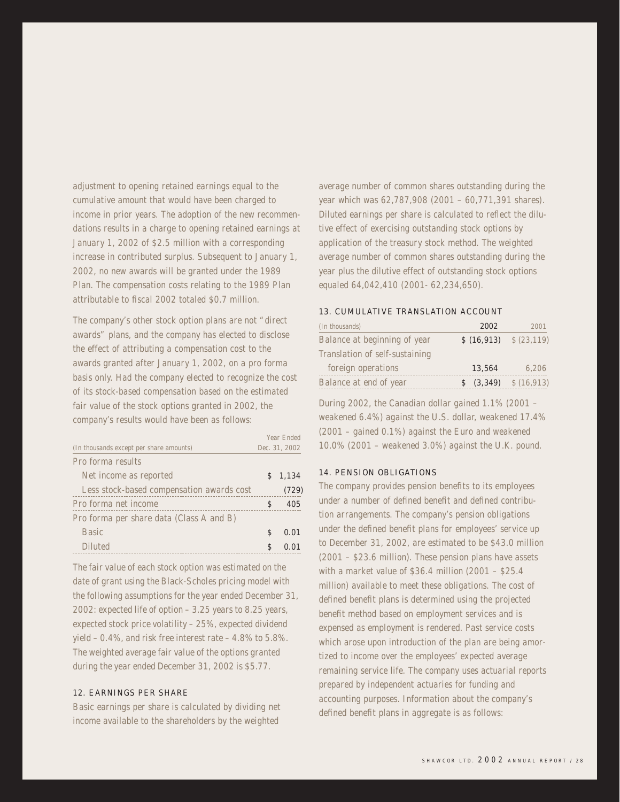adjustment to opening retained earnings equal to the cumulative amount that would have been charged to income in prior years. The adoption of the new recommendations results in a charge to opening retained earnings at January 1, 2002 of \$2.5 million with a corresponding increase in contributed surplus. Subsequent to January 1, 2002, no new awards will be granted under the 1989 Plan. The compensation costs relating to the 1989 Plan attributable to fiscal 2002 totaled \$0.7 million.

The company's other stock option plans are not "direct awards" plans, and the company has elected to disclose the effect of attributing a compensation cost to the awards granted after January 1, 2002, on a pro forma basis only. Had the company elected to recognize the cost of its stock-based compensation based on the estimated fair value of the stock options granted in 2002, the company's results would have been as follows:

|                                           |    | Year Fnded    |
|-------------------------------------------|----|---------------|
| (In thousands except per share amounts)   |    | Dec. 31, 2002 |
| Pro forma results                         |    |               |
| Net income as reported                    |    | \$1,134       |
| Less stock-based compensation awards cost |    | (729)         |
| Pro forma net income                      | S  | 405           |
| Pro forma per share data (Class A and B)  |    |               |
| <b>Basic</b>                              | \$ | 0.01          |
| Diluted                                   |    |               |
|                                           |    |               |

The fair value of each stock option was estimated on the date of grant using the Black-Scholes pricing model with the following assumptions for the year ended December 31, 2002: expected life of option – 3.25 years to 8.25 years, expected stock price volatility – 25%, expected dividend yield – 0.4%, and risk free interest rate – 4.8% to 5.8%. The weighted average fair value of the options granted during the year ended December 31, 2002 is \$5.77.

#### 12. EARNINGS PER SHARE

Basic earnings per share is calculated by dividing net income available to the shareholders by the weighted

average number of common shares outstanding during the year which was 62,787,908 (2001 – 60,771,391 shares). Diluted earnings per share is calculated to reflect the dilutive effect of exercising outstanding stock options by application of the treasury stock method. The weighted average number of common shares outstanding during the year plus the dilutive effect of outstanding stock options equaled 64,042,410 (2001- 62,234,650).

#### 13. CUMULATIVE TRANSLATION ACCOUNT

| (In thousands)                 | 2002                          | 2001       |
|--------------------------------|-------------------------------|------------|
| Balance at beginning of year   | $$ (16,913) \quad $ (23,119)$ |            |
| Translation of self-sustaining |                               |            |
| foreign operations             | 13,564                        | 6,206      |
| Balance at end of year         | \$ (3,349)                    | \$(16,913) |

During 2002, the Canadian dollar gained 1.1% (2001 – weakened 6.4%) against the U.S. dollar, weakened 17.4% (2001 – gained 0.1%) against the Euro and weakened 10.0% (2001 – weakened 3.0%) against the U.K. pound.

#### 14. PENSION OBLIGATIONS

The company provides pension benefits to its employees under a number of defined benefit and defined contribution arrangements. The company's pension obligations under the defined benefit plans for employees' service up to December 31, 2002, are estimated to be \$43.0 million (2001 – \$23.6 million). These pension plans have assets with a market value of \$36.4 million (2001 – \$25.4 million) available to meet these obligations. The cost of defined benefit plans is determined using the projected benefit method based on employment services and is expensed as employment is rendered. Past service costs which arose upon introduction of the plan are being amortized to income over the employees' expected average remaining service life. The company uses actuarial reports prepared by independent actuaries for funding and accounting purposes. Information about the company's defined benefit plans in aggregate is as follows: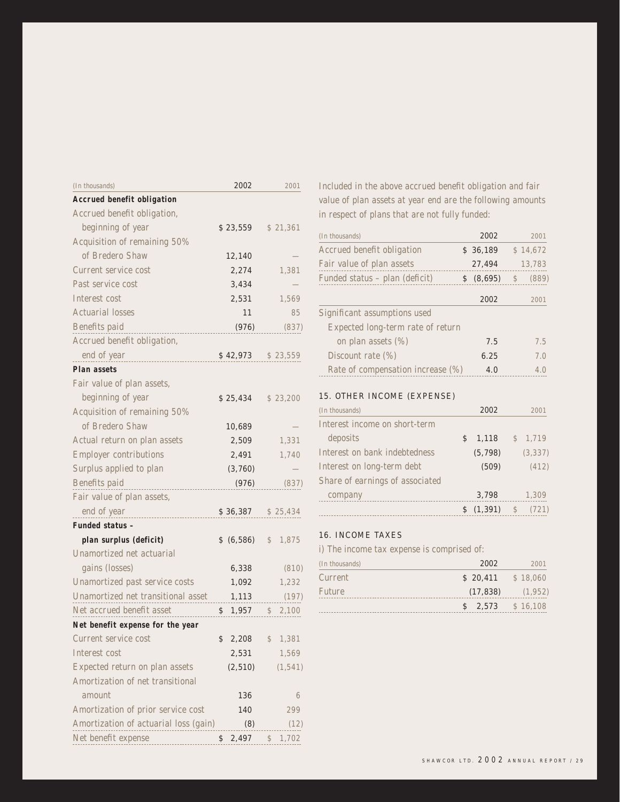| (In thousands)                        | 2002        |               | 2001     |
|---------------------------------------|-------------|---------------|----------|
| Accrued benefit obligation            |             |               |          |
| Accrued benefit obligation,           |             |               |          |
| beginning of year                     | \$23,559    |               | \$21,361 |
| Acquisition of remaining 50%          |             |               |          |
| of Bredero Shaw                       | 12,140      |               |          |
| Current service cost                  | 2,274       |               | 1,381    |
| Past service cost                     | 3,434       |               |          |
| Interest cost                         | 2,531       |               | 1,569    |
| <b>Actuarial losses</b>               | 11          |               | 85       |
| Benefits paid                         | (976)       |               | (837)    |
| Accrued benefit obligation,           |             |               |          |
| end of year                           | \$42,973    |               | \$23,559 |
| Plan assets                           |             |               |          |
| Fair value of plan assets,            |             |               |          |
| beginning of year                     | \$25,434    |               | \$23,200 |
| Acquisition of remaining 50%          |             |               |          |
| of Bredero Shaw                       | 10,689      |               |          |
| Actual return on plan assets          | 2,509       |               | 1,331    |
| <b>Employer contributions</b>         | 2,491       |               | 1,740    |
| Surplus applied to plan               | (3,760)     |               |          |
| Benefits paid                         | (976)       |               | (837)    |
| Fair value of plan assets,            |             |               |          |
| end of year                           | \$36,387    |               | \$25,434 |
| Funded status -                       |             |               |          |
| plan surplus (deficit)                | \$ (6,586)  | \$            | 1,875    |
| Unamortized net actuarial             |             |               |          |
| gains (losses)                        | 6,338       |               | (810)    |
| Unamortized past service costs        | 1,092       |               | 1,232    |
| Unamortized net transitional asset    | 1,113       |               | (197)    |
| Net accrued benefit asset             | \$<br>1,957 | $\frac{1}{2}$ | 2,100    |
| Net benefit expense for the year      |             |               |          |
| Current service cost                  | \$<br>2,208 | \$            | 1,381    |
| Interest cost                         | 2,531       |               | 1,569    |
| Expected return on plan assets        | (2, 510)    |               | (1, 541) |
| Amortization of net transitional      |             |               |          |
| amount                                | 136         |               | 6        |
| Amortization of prior service cost    | 140         |               | 299      |
| Amortization of actuarial loss (gain) | (8)         |               | (12)     |
| Net benefit expense                   | \$<br>2,497 | \$            | 1,702    |

Included in the above accrued benefit obligation and fair value of plan assets at year end are the following amounts in respect of plans that are not fully funded:

| (In thousands)                    | 2002          | 2001                   |
|-----------------------------------|---------------|------------------------|
| Accrued benefit obligation        | \$36,189      | \$14,672               |
| Fair value of plan assets         | 27,494        | 13,783                 |
| Funded status - plan (deficit)    | \$<br>(8,695) | (889)<br>$\mathcal{S}$ |
|                                   | 2002          | 2001                   |
| Significant assumptions used      |               |                        |
| Expected long-term rate of return |               |                        |
| on plan assets (%)                | 7.5           | 7.5                    |
| Discount rate (%)                 | 6.25          | 7.0                    |
| Rate of compensation increase (%) | 4.0           | 4.0                    |

#### 15. OTHER INCOME (EXPENSE)

| (In thousands)                  | 2002        |            | 2001     |
|---------------------------------|-------------|------------|----------|
| Interest income on short-term   |             |            |          |
| deposits                        | \$<br>1,118 |            | \$1,719  |
| Interest on bank indebtedness   | (5, 798)    |            | (3, 337) |
| Interest on long-term debt      | (509)       |            | (412)    |
| Share of earnings of associated |             |            |          |
| company                         | 3,798       |            | 1,309    |
|                                 | (1, 391)    | $\sqrt{5}$ | (721)    |

# 16. INCOME TAXES

i) The income tax expense is comprised of:

| (In thousands) | 2002                | 2001    |
|----------------|---------------------|---------|
| Current        | $$20,411$ $$18,060$ |         |
| <b>Future</b>  | (17, 838)           | (1,952) |
|                | $$2,573$ $$16,108$  |         |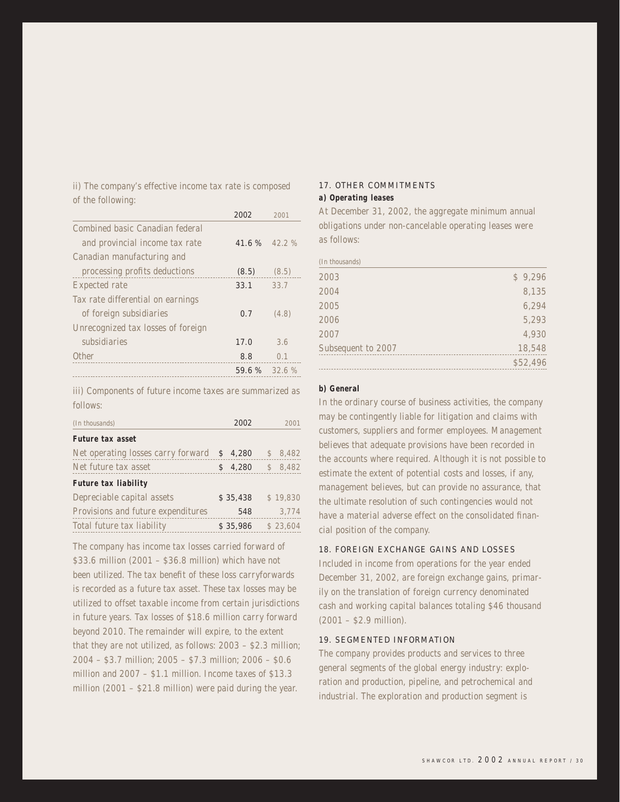ii) The company's effective income tax rate is composed of the following:

|                                    | 2002  | 2001  |
|------------------------------------|-------|-------|
| Combined basic Canadian federal    |       |       |
| and provincial income tax rate     | 41.6% | 422%  |
| Canadian manufacturing and         |       |       |
| processing profits deductions      | (8.5) | (8.5) |
| Expected rate                      | 33.1  | 33.7  |
| Tax rate differential on earnings  |       |       |
| of foreign subsidiaries            | 0.7   | (4.8) |
| Unrecognized tax losses of foreign |       |       |
| subsidiaries                       | 17.0  | 36    |
| Other                              | 8.8   | 0.1   |
|                                    | 59.6% | 32.6% |

iii) Components of future income taxes are summarized as follows:

| (In thousands)                     | 2002     | 2001     |
|------------------------------------|----------|----------|
| Future tax asset                   |          |          |
| Net operating losses carry forward | \$4,280  | \$8,482  |
| Net future tax asset               | 4,280    | \$8,482  |
| Future tax liability               |          |          |
| Depreciable capital assets         | \$35,438 | \$19,830 |
| Provisions and future expenditures | 548      | 3,774    |
| Total future tax liability         | \$35,986 | \$23,604 |

The company has income tax losses carried forward of \$33.6 million (2001 – \$36.8 million) which have not been utilized. The tax benefit of these loss carryforwards is recorded as a future tax asset. These tax losses may be utilized to offset taxable income from certain jurisdictions in future years. Tax losses of \$18.6 million carry forward beyond 2010. The remainder will expire, to the extent that they are not utilized, as follows: 2003 – \$2.3 million; 2004 – \$3.7 million; 2005 – \$7.3 million; 2006 – \$0.6 million and 2007 – \$1.1 million. Income taxes of \$13.3 million (2001 – \$21.8 million) were paid during the year.

# 17. OTHER COMMITMENTS

#### **a) Operating leases**

At December 31, 2002, the aggregate minimum annual obligations under non-cancelable operating leases were as follows:

| (In thousands)     |          |
|--------------------|----------|
| 2003               | \$9,296  |
| 2004               | 8,135    |
| 2005               | 6,294    |
| 2006               | 5,293    |
| 2007               | 4,930    |
| Subsequent to 2007 | 18,548   |
|                    | \$52,496 |

#### **b) General**

In the ordinary course of business activities, the company may be contingently liable for litigation and claims with customers, suppliers and former employees. Management believes that adequate provisions have been recorded in the accounts where required. Although it is not possible to estimate the extent of potential costs and losses, if any, management believes, but can provide no assurance, that the ultimate resolution of such contingencies would not have a material adverse effect on the consolidated financial position of the company.

#### 18. FOREIGN EXCHANGE GAINS AND LOSSES

Included in income from operations for the year ended December 31, 2002, are foreign exchange gains, primarily on the translation of foreign currency denominated cash and working capital balances totaling \$46 thousand (2001 – \$2.9 million).

#### 19. SEGMENTED INFORMATION

The company provides products and services to three general segments of the global energy industry: exploration and production, pipeline, and petrochemical and industrial. The exploration and production segment is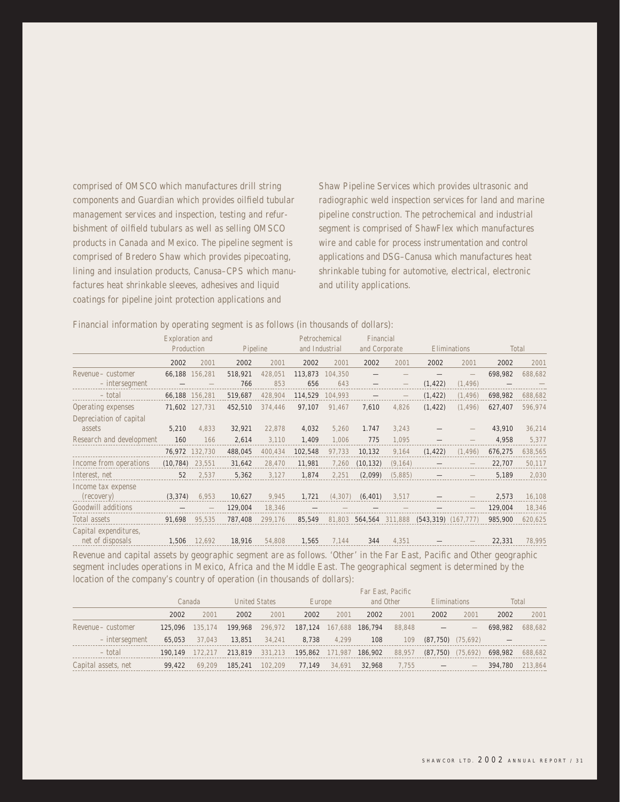comprised of OMSCO which manufactures drill string components and Guardian which provides oilfield tubular management services and inspection, testing and refurbishment of oilfield tubulars as well as selling OMSCO products in Canada and Mexico. The pipeline segment is comprised of Bredero Shaw which provides pipecoating, lining and insulation products, Canusa–CPS which manufactures heat shrinkable sleeves, adhesives and liquid coatings for pipeline joint protection applications and

Shaw Pipeline Services which provides ultrasonic and radiographic weld inspection services for land and marine pipeline construction. The petrochemical and industrial segment is comprised of ShawFlex which manufactures wire and cable for process instrumentation and control applications and DSG–Canusa which manufactures heat shrinkable tubing for automotive, electrical, electronic and utility applications.

Financial information by operating segment is as follows (in thousands of dollars):

|                                           | Exploration and<br>Production |                | Pipeline       |                | Petrochemical<br>and Industrial |                | Financial<br>and Corporate |          | Eliminations              |                      |         | Total   |
|-------------------------------------------|-------------------------------|----------------|----------------|----------------|---------------------------------|----------------|----------------------------|----------|---------------------------|----------------------|---------|---------|
|                                           | 2002                          | 2001           | 2002           | 2001           | 2002                            | 2001           | 2002                       | 2001     | 2002                      | 2001                 | 2002    | 2001    |
| Revenue - customer                        |                               | 66,188 156.281 | 518,921        | 428,051        | 113,873                         | 104,350        |                            |          |                           |                      | 698,982 | 688,682 |
| - intersegment<br>- total                 |                               | 66,188 156,281 | 766<br>519,687 | 853<br>428,904 | 656<br>114,529                  | 643<br>104,993 |                            |          | (1, 422)<br>(1, 422)      | (1, 496)<br>(1, 496) | 698,982 | 688,682 |
| Operating expenses                        | 71,602                        | 127,731        | 452,510        | 374,446        | 97,107                          | 91,467         | 7,610                      | 4,826    | (1, 422)                  | (1, 496)             | 627,407 | 596,974 |
| Depreciation of capital<br>assets         | 5,210                         | 4,833          | 32,921         | 22,878         | 4,032                           | 5,260          | 1.747                      | 3,243    |                           |                      | 43,910  | 36,214  |
| Research and development                  | 160                           | 166            | 2,614          | 3,110          | 1,409                           | 1,006          | 775                        | 1,095    |                           |                      | 4,958   | 5,377   |
|                                           |                               | 76,972 132,730 | 488,045        | 400,434        | 102,548                         | 97,733         | 10,132                     | 9,164    | (1, 422)                  | (1, 496)             | 676,275 | 638,565 |
| Income from operations                    | (10, 784)                     | 23,551         | 31,642         | 28,470         | 11,981                          | 7,260          | (10, 132)                  | (9, 164) |                           |                      | 22,707  | 50,117  |
| Interest, net                             | 52                            | 2,537          | 5,362          | 3,127          | 1,874                           | 2,251          | (2,099)                    | (5,885)  |                           |                      | 5,189   | 2,030   |
| Income tax expense<br>(recovery)          | (3, 374)                      | 6,953          | 10,627         | 9,945          | 1,721                           | (4, 307)       | (6, 401)                   | 3,517    |                           |                      | 2,573   | 16,108  |
| Goodwill additions                        |                               |                | 129,004        | 18,346         |                                 |                |                            |          |                           |                      | 129,004 | 18,346  |
| Total assets                              | 91,698                        | 95,535         | 787,408        | 299,176        | 85,549                          | 81,803         | 564,564 311,888            |          | $(543, 319)$ $(167, 777)$ |                      | 985,900 | 620,625 |
| Capital expenditures,<br>net of disposals | 1,506                         | 12,692         | 18,916         | 54,808         | 1,565                           | 7,144          | 344                        | 4,351    |                           |                      | 22,331  | 78,995  |

Revenue and capital assets by geographic segment are as follows. 'Other' in the Far East, Pacific and Other geographic segment includes operations in Mexico, Africa and the Middle East. The geographical segment is determined by the location of the company's country of operation (in thousands of dollars):

|                     | Far East, Pacific |         |                      |                 |                         |        |           |        |                                  |                                 |         |         |  |
|---------------------|-------------------|---------|----------------------|-----------------|-------------------------|--------|-----------|--------|----------------------------------|---------------------------------|---------|---------|--|
|                     | Canada            |         | <b>United States</b> |                 | Europe                  |        | and Other |        | Eliminations                     |                                 | Total   |         |  |
|                     | 2002              | 2001    | 2002                 | 2001            | 2002                    | 2001   | 2002      | 2001   | 2002                             | 2001                            | 2002    | 2001    |  |
| Revenue – customer  | 125,096           | 135.174 |                      | 199,968 296.972 | 187,124 167,688 186,794 |        |           | 88.848 |                                  |                                 | 698,982 | 688,682 |  |
| – interseament      | 65,053            | 37,043  | 13,851               | 34.241          | 8,738                   | 4.299  | 108       | 109    | $(87,750)$ $(75,692)$            |                                 |         |         |  |
| - total             | 190.149           | 172.217 |                      | 213,819 331,213 | 195,862 171,987 186,902 |        |           |        | 88,957 (87,750) (75,692) 698,982 |                                 |         | 688,682 |  |
| Capital assets, net | 99,422            | 69.209  | 185,241              | 102.209         | 77.149                  | 34.691 | 32,968    | 7.755  | $\overline{\phantom{0}}$         | $\hspace{0.1mm}-\hspace{0.1mm}$ | 394,780 | 213.864 |  |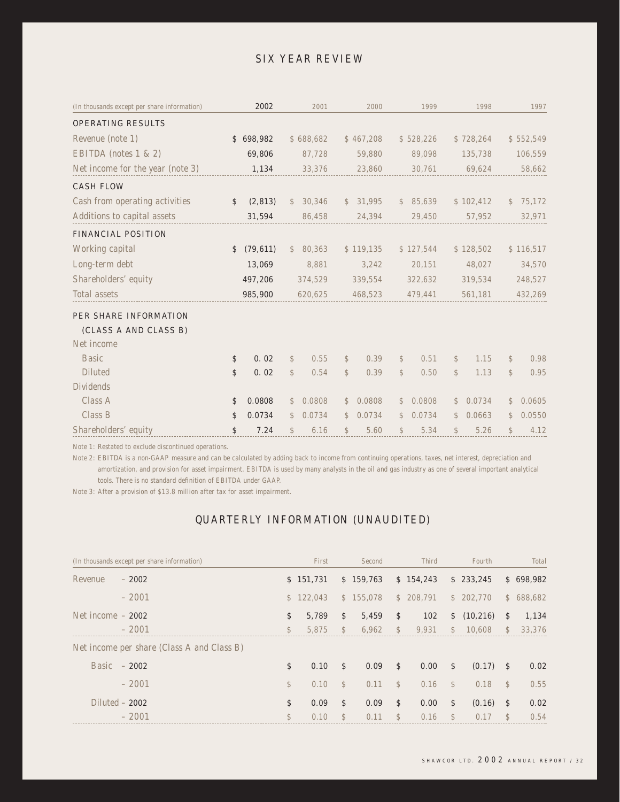# SIX YEAR REVIEW

| (In thousands except per share information) | 2002            |               | 2001      |               | 2000      |               | 1999      |               | 1998      |               | 1997      |
|---------------------------------------------|-----------------|---------------|-----------|---------------|-----------|---------------|-----------|---------------|-----------|---------------|-----------|
| <b>OPERATING RESULTS</b>                    |                 |               |           |               |           |               |           |               |           |               |           |
| Revenue (note 1)                            | \$698,982       |               | \$688,682 |               | \$467,208 |               | \$528,226 |               | \$728,264 |               | \$552,549 |
| EBITDA (notes 1 & 2)                        | 69,806          |               | 87,728    |               | 59,880    |               | 89,098    |               | 135,738   |               | 106,559   |
| Net income for the year (note 3)            | 1,134           |               | 33,376    |               | 23,860    |               | 30,761    |               | 69,624    |               | 58,662    |
| <b>CASH FLOW</b>                            |                 |               |           |               |           |               |           |               |           |               |           |
| Cash from operating activities              | \$<br>(2, 813)  | $\mathcal{S}$ | 30,346    | $\mathbb{S}$  | 31,995    |               | \$85,639  |               | \$102,412 | $\mathbb{S}$  | 75,172    |
| Additions to capital assets                 | 31,594          |               | 86,458    |               | 24,394    |               | 29,450    |               | 57,952    |               | 32,971    |
| <b>FINANCIAL POSITION</b>                   |                 |               |           |               |           |               |           |               |           |               |           |
| Working capital                             | \$<br>(79, 611) | $\mathcal{S}$ | 80,363    |               | \$119,135 |               | \$127,544 |               | \$128,502 |               | \$116,517 |
| Long-term debt                              | 13,069          |               | 8,881     |               | 3,242     |               | 20,151    |               | 48,027    |               | 34,570    |
| Shareholders' equity                        | 497,206         |               | 374,529   |               | 339,554   |               | 322,632   |               | 319,534   |               | 248,527   |
| Total assets                                | 985,900         |               | 620,625   |               | 468,523   |               | 479,441   |               | 561,181   |               | 432,269   |
| <b>PER SHARE INFORMATION</b>                |                 |               |           |               |           |               |           |               |           |               |           |
| (CLASS A AND CLASS B)<br>Net income         |                 |               |           |               |           |               |           |               |           |               |           |
| <b>Basic</b>                                | \$<br>0.02      | $\mathcal{S}$ | 0.55      | \$            | 0.39      | $\mathcal{L}$ | 0.51      | $\mathcal{S}$ | 1.15      | $\mathcal{L}$ | 0.98      |
| <b>Diluted</b>                              | \$<br>0.02      | \$            | 0.54      | $\mathbb{S}$  | 0.39      | $\mathcal{S}$ | 0.50      | $\mathcal{S}$ | 1.13      | $\mathbb{S}$  | 0.95      |
| <b>Dividends</b>                            |                 |               |           |               |           |               |           |               |           |               |           |
| Class A                                     | \$<br>0.0808    | $\mathbb{S}$  | 0.0808    | $\mathcal{S}$ | 0.0808    | $\mathcal{L}$ | 0.0808    | $\mathbb{S}$  | 0.0734    | $\mathbb{S}$  | 0.0605    |
| Class B                                     | \$<br>0.0734    | $\mathbb{S}$  | 0.0734    | $\mathbb{S}$  | 0.0734    | \$            | 0.0734    | $\mathbb{S}$  | 0.0663    | $\mathbb{S}$  | 0.0550    |
| Shareholders' equity                        | \$<br>7.24      | \$            | 6.16      | \$            | 5.60      | \$            | 5.34      | \$            | 5.26      | $\mathbb{S}$  | 4.12      |

Note 1: Restated to exclude discontinued operations.

Note 2: EBITDA is a non-GAAP measure and can be calculated by adding back to income from continuing operations, taxes, net interest, depreciation and amortization, and provision for asset impairment. EBITDA is used by many analysts in the oil and gas industry as one of several important analytical tools. There is no standard definition of EBITDA under GAAP.

Note 3: After a provision of \$13.8 million after tax for asset impairment.

# QUARTERLY INFORMATION (UNAUDITED)

|                    | (In thousands except per share information) |              | First     |               | Second    |               | <b>Third</b> |               | Fourth      |               | Total     |
|--------------------|---------------------------------------------|--------------|-----------|---------------|-----------|---------------|--------------|---------------|-------------|---------------|-----------|
| Revenue            | $-2002$                                     |              | \$151.731 |               | \$159,763 |               | \$154.243    |               | \$233,245   |               | \$698,982 |
|                    | $-2001$                                     |              | \$122.043 |               | \$155.078 |               | \$208.791    |               | \$202.770   |               | \$688,682 |
| Net income $-2002$ |                                             | \$           | 5.789     | \$            | 5,459     | \$            | 102          |               | \$(10,216)  | \$            | 1,134     |
|                    | $-2001$                                     | $\mathbb{S}$ | 5.875     | $\mathcal{S}$ | 6.962     | $\mathcal{S}$ | 9.931        | $\mathcal{S}$ | 10.608      | $\mathbb{S}$  | 33.376    |
|                    | Net income per share (Class A and Class B)  |              |           |               |           |               |              |               |             |               |           |
|                    | Basic $-2002$                               | \$           | 0.10      | \$            | 0.09      | \$            | 0.00         | \$            | $(0.17)$ \$ |               | 0.02      |
|                    | $-2001$                                     | $\mathbb{S}$ | 0.10      | $\mathcal{S}$ | 0.11      | $\mathbb{S}$  | 0.16         | $\mathbb{S}$  | 0.18        | $\mathcal{S}$ | 0.55      |
|                    | Diluted $-2002$                             | \$           | 0.09      | \$            | 0.09      | \$            | 0.00         | \$            | $(0.16)$ \$ |               | 0.02      |
|                    | $-2001$                                     | $\mathbb{S}$ | 0.10      | $\mathcal{S}$ | 0.11      | $\mathcal{S}$ | 0.16         | $\mathcal{S}$ | 0.17        | $\mathcal{S}$ | 0.54      |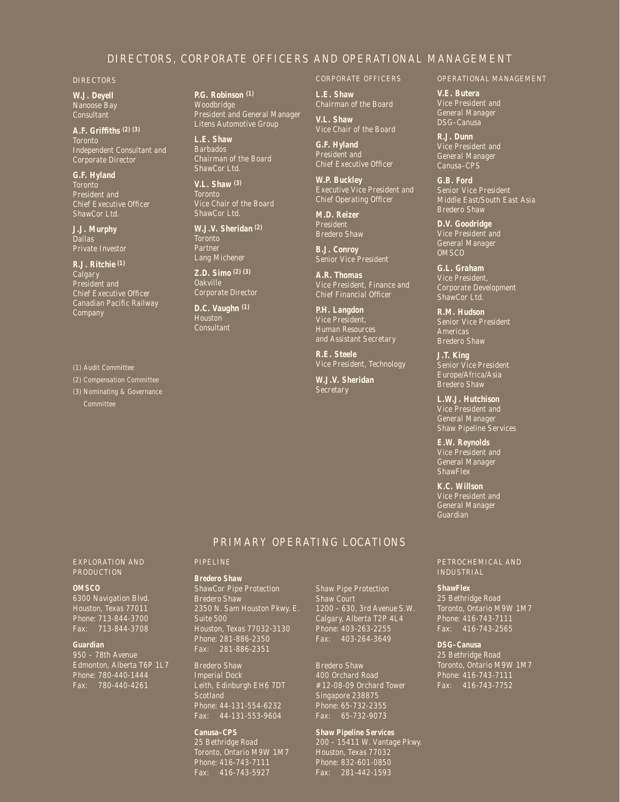## DIRECTORS, CORPORATE OFFICERS AND OPERATIONAL MANAGEMENT

#### DIRECTORS

**W.J. Deyell** Nanoose Bay Consultant

**A.F. Griffiths (2) (3)** Toronto Independent Consultant and Corporate Director

**G.F. Hyland Toronto** Chief Executive Officer ShawCor Ltd.

**J.J. Murphy Dallas Private Investor** 

**R.J. Ritchie (1)** Calgary President and Chief Executive Officer Canadian Pacific Railway **Company** 

(1) Audit Committee

(2) Compensation Committee

(3) Nominating & Governance

**P.G. Robinson (1) Woodbridge** President and General Manager Litens Automotive Group

**L.E. Shaw** Barbados Chairman of the Board ShawCor Ltd.

**V.L. Shaw (3)** Toronto Vice Chair of the Board ShawCor Ltd.

**W.J.V. Sheridan (2) Toronto** Partner Lang Michener

**Z.D. Simo (2) (3)** Oakville Corporate Director

**D.C. Vaughn (1)** Houston **Consultant** 

#### CORPORATE OFFICERS

**L.E. Shaw** Chairman of the Board

**V.L. Shaw**

Vice Chair of the Board **G.F. Hyland** President and Chief Executive Officer

**W.P. Buckley** Executive Vice President and Chief Operating Officer

**M.D. Reizer** President Bredero Shaw

**B.J. Conroy**

**A.R. Thomas** Vice President, Finance and Chief Financial Officer

**P.H. Langdon** Vice President, Human Resources and Assistant Secretary

**R.E. Steele** Vice President, Technology

**W.J.V. Sheridan**

#### OPERATIONAL MANAGEMENT

**V.E. Butera** Vice President and General Manager DSG–Canusa

**R.J. Dunn** Vice President and General Manager Canusa–CPS

**G.B. Ford** Senior Vice President Middle East/South East Asia

**D.V. Goodridge** Vice President and General Manager OMSCO

**G.L. Graham** Vice President, Corporate Development ShawCor Ltd.

**R.M. Hudson** Senior Vice President Americas Bredero Shaw

**J.T. King** Senior Vice President Europe/Africa/Asia Bredero Shaw

**L.W.J. Hutchison** Vice President and General Manager Shaw Pipeline Services

**E.W. Reynolds** Vice President and General Manager

**K.C. Willson** Vice President and General Manager Guardian

#### PETROCHEMICAL AND INDUSTRIAL

**ShawFlex** 25 Bethridge Road Toronto, Ontario M9W 1M7 Phone: 416-743-7111 Fax: 416-743-2565

**DSG–Canusa** 25 Bethridge Road

#### EXPLORATION AND PRODUCTION

#### **OMSCO**

6300 Navigation Blvd. Houston, Texas 77011 Phone: 713-844-3700 Fax: 713-844-3708

#### **Guardian**

950 – 78th Avenue Fax: 780-440-4261

#### PIPELINE

**Bredero Shaw**

ShawCor Pipe Protection Bredero Shaw 2350 N. Sam Houston Pkwy. E. Suite 500 Houston, Texas 77032-3130 Phone: 281-886-2350 Fax: 281-886-2351

Bredero Shaw Imperial Dock Leith, Edinburgh EH6 7DT Scotland Phone: 44-131-554-6232 Fax: 44-131-553-9604

**Canusa–CPS** 25 Bethridge Road Toronto, Ontario M9W 1M7 Fax: 416-743-5927

Shaw Pipe Protection Shaw Court 1200 – 630, 3rd Avenue S.W. Calgary, Alberta T2P 4L4 Phone: 403-263-2255 Fax: 403-264-3649

PRIMARY OPERATING LOCATIONS

Bredero Shaw 400 Orchard Road #12-08-09 Orchard Tower Singapore 238875 Phone: 65-732-2355 Fax: 65-732-9073

**Shaw Pipeline Services** 200 – 15411 W. Vantage Pkwy. Houston, Texas 77032 Phone: 832-601-0850 Fax: 281-442-1593